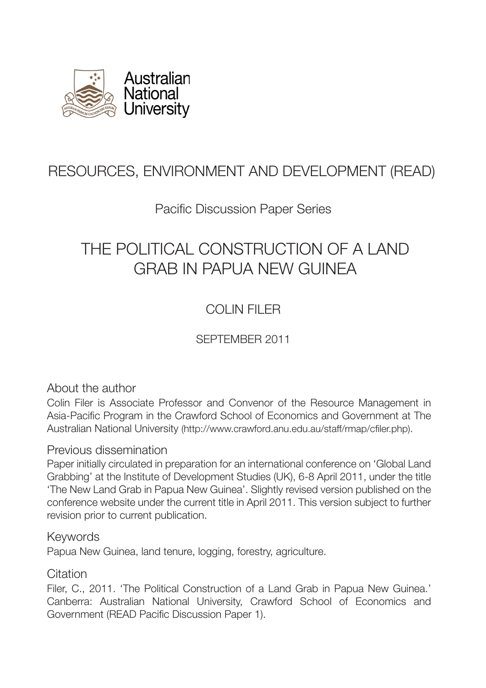

# RESOURCES, ENVIRONMENT AND DEVELOPMENT (READ)

## Pacific Discussion Paper Series

# THE POLITICAL CONSTRUCTION OF A LAND GRAB IN PAPUA NEW GUINEA

## COLIN FILER

SEPTEMBER 2011

## About the author

Colin Filer is Associate Professor and Convenor of the Resource Management in Asia-Pacific Program in the Crawford School of Economics and Government at The Australian National University (http://www.crawford.anu.edu.au/staff/rmap/cfiler.php).

## Previous dissemination

Paper initially circulated in preparation for an international conference on 'Global Land Grabbing' at the Institute of Development Studies (UK), 6-8 April 2011, under the title 'The New Land Grab in Papua New Guinea'. Slightly revised version published on the conference website under the current title in April 2011. This version subject to further revision prior to current publication.

### Keywords

Papua New Guinea, land tenure, logging, forestry, agriculture.

## **Citation**

Filer, C., 2011. 'The Political Construction of a Land Grab in Papua New Guinea.' Canberra: Australian National University, Crawford School of Economics and Government (READ Pacific Discussion Paper 1).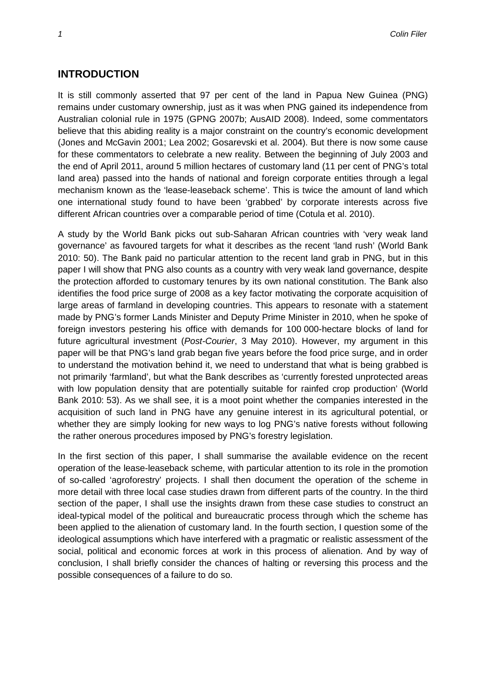#### **INTRODUCTION**

It is still commonly asserted that 97 per cent of the land in Papua New Guinea (PNG) remains under customary ownership, just as it was when PNG gained its independence from Australian colonial rule in 1975 (GPNG 2007b; AusAID 2008). Indeed, some commentators believe that this abiding reality is a major constraint on the country's economic development (Jones and McGavin 2001; Lea 2002; Gosarevski et al. 2004). But there is now some cause for these commentators to celebrate a new reality. Between the beginning of July 2003 and the end of April 2011, around 5 million hectares of customary land (11 per cent of PNG's total land area) passed into the hands of national and foreign corporate entities through a legal mechanism known as the 'lease-leaseback scheme'. This is twice the amount of land which one international study found to have been 'grabbed' by corporate interests across five different African countries over a comparable period of time (Cotula et al. 2010).

A study by the World Bank picks out sub-Saharan African countries with 'very weak land governance' as favoured targets for what it describes as the recent 'land rush' (World Bank 2010: 50). The Bank paid no particular attention to the recent land grab in PNG, but in this paper I will show that PNG also counts as a country with very weak land governance, despite the protection afforded to customary tenures by its own national constitution. The Bank also identifies the food price surge of 2008 as a key factor motivating the corporate acquisition of large areas of farmland in developing countries. This appears to resonate with a statement made by PNG's former Lands Minister and Deputy Prime Minister in 2010, when he spoke of foreign investors pestering his office with demands for 100 000-hectare blocks of land for future agricultural investment (*Post-Courier*, 3 May 2010). However, my argument in this paper will be that PNG's land grab began five years before the food price surge, and in order to understand the motivation behind it, we need to understand that what is being grabbed is not primarily 'farmland', but what the Bank describes as 'currently forested unprotected areas with low population density that are potentially suitable for rainfed crop production' (World Bank 2010: 53). As we shall see, it is a moot point whether the companies interested in the acquisition of such land in PNG have any genuine interest in its agricultural potential, or whether they are simply looking for new ways to log PNG's native forests without following the rather onerous procedures imposed by PNG's forestry legislation.

In the first section of this paper, I shall summarise the available evidence on the recent operation of the lease-leaseback scheme, with particular attention to its role in the promotion of so-called 'agroforestry' projects. I shall then document the operation of the scheme in more detail with three local case studies drawn from different parts of the country. In the third section of the paper, I shall use the insights drawn from these case studies to construct an ideal-typical model of the political and bureaucratic process through which the scheme has been applied to the alienation of customary land. In the fourth section, I question some of the ideological assumptions which have interfered with a pragmatic or realistic assessment of the social, political and economic forces at work in this process of alienation. And by way of conclusion, I shall briefly consider the chances of halting or reversing this process and the possible consequences of a failure to do so.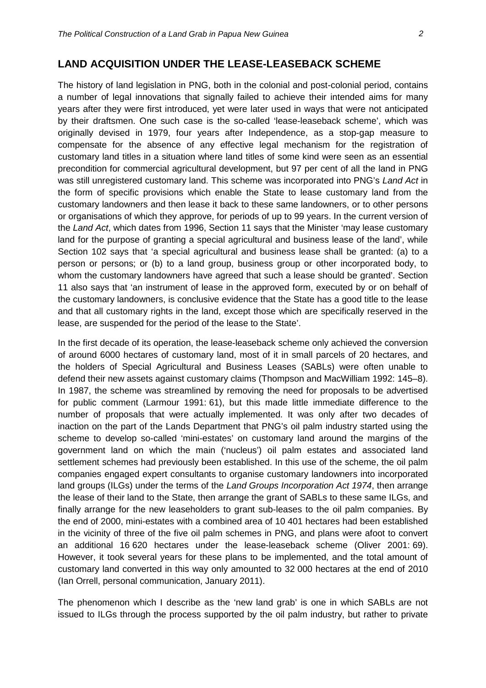#### **LAND ACQUISITION UNDER THE LEASE-LEASEBACK SCHEME**

The history of land legislation in PNG, both in the colonial and post-colonial period, contains a number of legal innovations that signally failed to achieve their intended aims for many years after they were first introduced, yet were later used in ways that were not anticipated by their draftsmen. One such case is the so-called 'lease-leaseback scheme', which was originally devised in 1979, four years after Independence, as a stop-gap measure to compensate for the absence of any effective legal mechanism for the registration of customary land titles in a situation where land titles of some kind were seen as an essential precondition for commercial agricultural development, but 97 per cent of all the land in PNG was still unregistered customary land. This scheme was incorporated into PNG's *Land Act* in the form of specific provisions which enable the State to lease customary land from the customary landowners and then lease it back to these same landowners, or to other persons or organisations of which they approve, for periods of up to 99 years. In the current version of the *Land Act*, which dates from 1996, Section 11 says that the Minister 'may lease customary land for the purpose of granting a special agricultural and business lease of the land', while Section 102 says that 'a special agricultural and business lease shall be granted: (a) to a person or persons; or (b) to a land group, business group or other incorporated body, to whom the customary landowners have agreed that such a lease should be granted'. Section 11 also says that 'an instrument of lease in the approved form, executed by or on behalf of the customary landowners, is conclusive evidence that the State has a good title to the lease and that all customary rights in the land, except those which are specifically reserved in the lease, are suspended for the period of the lease to the State'.

In the first decade of its operation, the lease-leaseback scheme only achieved the conversion of around 6000 hectares of customary land, most of it in small parcels of 20 hectares, and the holders of Special Agricultural and Business Leases (SABLs) were often unable to defend their new assets against customary claims (Thompson and MacWilliam 1992: 145–8). In 1987, the scheme was streamlined by removing the need for proposals to be advertised for public comment (Larmour 1991: 61), but this made little immediate difference to the number of proposals that were actually implemented. It was only after two decades of inaction on the part of the Lands Department that PNG's oil palm industry started using the scheme to develop so-called 'mini-estates' on customary land around the margins of the government land on which the main ('nucleus') oil palm estates and associated land settlement schemes had previously been established. In this use of the scheme, the oil palm companies engaged expert consultants to organise customary landowners into incorporated land groups (ILGs) under the terms of the *Land Groups Incorporation Act 1974*, then arrange the lease of their land to the State, then arrange the grant of SABLs to these same ILGs, and finally arrange for the new leaseholders to grant sub-leases to the oil palm companies. By the end of 2000, mini-estates with a combined area of 10 401 hectares had been established in the vicinity of three of the five oil palm schemes in PNG, and plans were afoot to convert an additional 16 620 hectares under the lease-leaseback scheme (Oliver 2001: 69). However, it took several years for these plans to be implemented, and the total amount of customary land converted in this way only amounted to 32 000 hectares at the end of 2010 (Ian Orrell, personal communication, January 2011).

The phenomenon which I describe as the 'new land grab' is one in which SABLs are not issued to ILGs through the process supported by the oil palm industry, but rather to private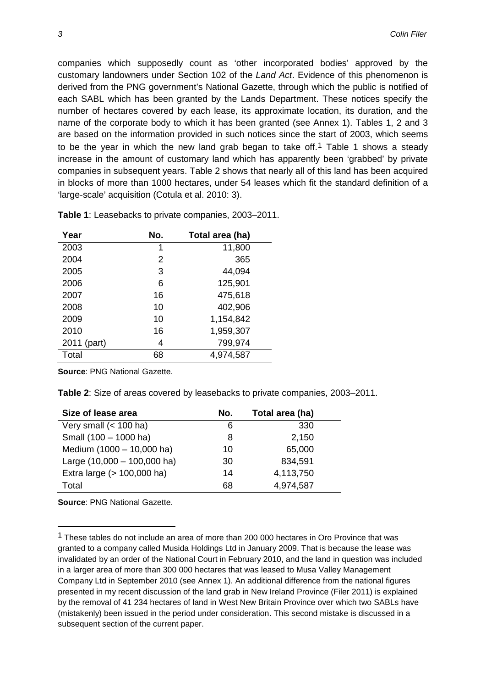companies which supposedly count as 'other incorporated bodies' approved by the customary landowners under Section 102 of the *Land Act*. Evidence of this phenomenon is derived from the PNG government's National Gazette, through which the public is notified of each SABL which has been granted by the Lands Department. These notices specify the number of hectares covered by each lease, its approximate location, its duration, and the name of the corporate body to which it has been granted (see Annex 1). Tables 1, 2 and 3 are based on the information provided in such notices since the start of 2003, which seems to be the year in which the new land grab began to take off.<sup>1</sup> Table 1 shows a steady increase in the amount of customary land which has apparently been 'grabbed' by private companies in subsequent years. Table 2 shows that nearly all of this land has been acquired in blocks of more than 1000 hectares, under 54 leases which fit the standard definition of a 'large-scale' acquisition (Cotula et al. 2010: 3).

| Year        | No. | Total area (ha) |
|-------------|-----|-----------------|
| 2003        | 1   | 11,800          |
| 2004        | 2   | 365             |
| 2005        | 3   | 44,094          |
| 2006        | 6   | 125,901         |
| 2007        | 16  | 475,618         |
| 2008        | 10  | 402,906         |
| 2009        | 10  | 1,154,842       |
| 2010        | 16  | 1,959,307       |
| 2011 (part) | 4   | 799,974         |
| Total       | 68  | 4,974,587       |

**Table 1**: Leasebacks to private companies, 2003–2011.

**Source**: PNG National Gazette.

**Table 2**: Size of areas covered by leasebacks to private companies, 2003–2011.

| Size of lease area            | No. | Total area (ha) |
|-------------------------------|-----|-----------------|
| Very small $(< 100$ ha)       | 6   | 330             |
| Small (100 - 1000 ha)         | 8   | 2,150           |
| Medium (1000 - 10,000 ha)     | 10  | 65,000          |
| Large $(10,000 - 100,000$ ha) | 30  | 834,591         |
| Extra large (> 100,000 ha)    | 14  | 4,113,750       |
| Total                         | 68  | 4,974,587       |

**Source**: PNG National Gazette.

<span id="page-3-0"></span><sup>&</sup>lt;sup>1</sup> These tables do not include an area of more than 200 000 hectares in Oro Province that was granted to a company called Musida Holdings Ltd in January 2009. That is because the lease was invalidated by an order of the National Court in February 2010, and the land in question was included in a larger area of more than 300 000 hectares that was leased to Musa Valley Management Company Ltd in September 2010 (see Annex 1). An additional difference from the national figures presented in my recent discussion of the land grab in New Ireland Province (Filer 2011) is explained by the removal of 41 234 hectares of land in West New Britain Province over which two SABLs have (mistakenly) been issued in the period under consideration. This second mistake is discussed in a subsequent section of the current paper.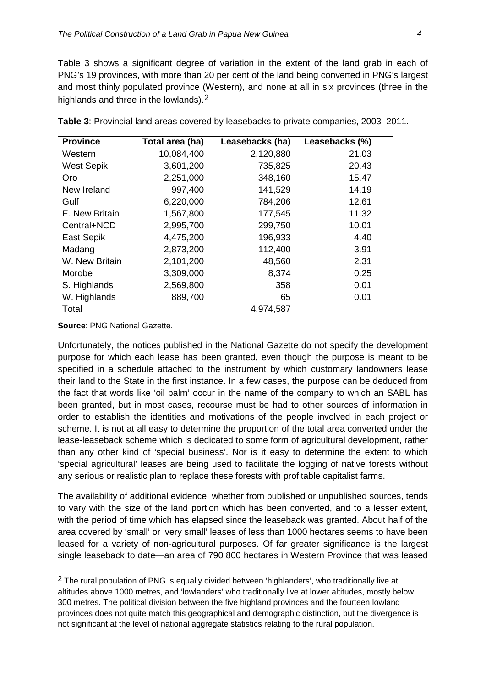Table 3 shows a significant degree of variation in the extent of the land grab in each of PNG's 19 provinces, with more than 20 per cent of the land being converted in PNG's largest and most thinly populated province (Western), and none at all in six provinces (three in the highlands and three in the lowlands).<sup>[2](#page-3-0)</sup>

| <b>Province</b>   | Total area (ha) | Leasebacks (ha) | Leasebacks (%) |
|-------------------|-----------------|-----------------|----------------|
| Western           | 10,084,400      | 2,120,880       | 21.03          |
| <b>West Sepik</b> | 3,601,200       | 735,825         | 20.43          |
| Oro               | 2,251,000       | 348,160         | 15.47          |
| New Ireland       | 997,400         | 141,529         | 14.19          |
| Gulf              | 6,220,000       | 784,206         | 12.61          |
| E. New Britain    | 1,567,800       | 177,545         | 11.32          |
| Central+NCD       | 2,995,700       | 299,750         | 10.01          |
| East Sepik        | 4,475,200       | 196,933         | 4.40           |
| Madang            | 2,873,200       | 112,400         | 3.91           |
| W. New Britain    | 2,101,200       | 48,560          | 2.31           |
| Morobe            | 3,309,000       | 8,374           | 0.25           |
| S. Highlands      | 2,569,800       | 358             | 0.01           |
| W. Highlands      | 889,700         | 65              | 0.01           |
| Total             |                 | 4,974,587       |                |

**Table 3**: Provincial land areas covered by leasebacks to private companies, 2003–2011.

**Source**: PNG National Gazette.

**.** 

Unfortunately, the notices published in the National Gazette do not specify the development purpose for which each lease has been granted, even though the purpose is meant to be specified in a schedule attached to the instrument by which customary landowners lease their land to the State in the first instance. In a few cases, the purpose can be deduced from the fact that words like 'oil palm' occur in the name of the company to which an SABL has been granted, but in most cases, recourse must be had to other sources of information in order to establish the identities and motivations of the people involved in each project or scheme. It is not at all easy to determine the proportion of the total area converted under the lease-leaseback scheme which is dedicated to some form of agricultural development, rather than any other kind of 'special business'. Nor is it easy to determine the extent to which 'special agricultural' leases are being used to facilitate the logging of native forests without any serious or realistic plan to replace these forests with profitable capitalist farms.

The availability of additional evidence, whether from published or unpublished sources, tends to vary with the size of the land portion which has been converted, and to a lesser extent, with the period of time which has elapsed since the leaseback was granted. About half of the area covered by 'small' or 'very small' leases of less than 1000 hectares seems to have been leased for a variety of non-agricultural purposes. Of far greater significance is the largest single leaseback to date—an area of 790 800 hectares in Western Province that was leased

<span id="page-4-0"></span> $2$  The rural population of PNG is equally divided between 'highlanders', who traditionally live at altitudes above 1000 metres, and 'lowlanders' who traditionally live at lower altitudes, mostly below 300 metres. The political division between the five highland provinces and the fourteen lowland provinces does not quite match this geographical and demographic distinction, but the divergence is not significant at the level of national aggregate statistics relating to the rural population.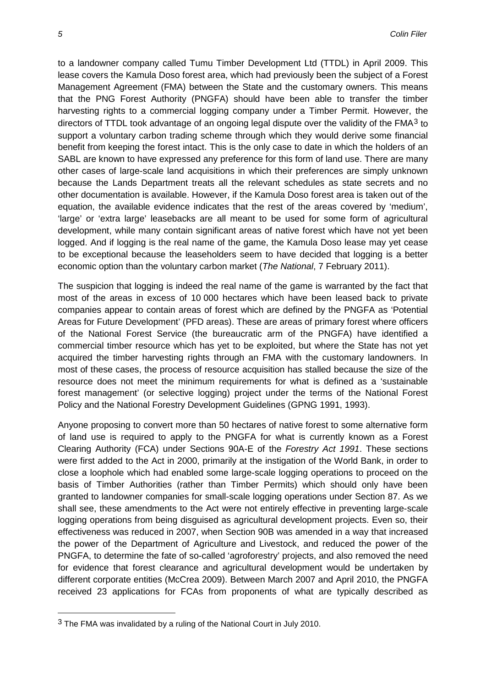to a landowner company called Tumu Timber Development Ltd (TTDL) in April 2009. This lease covers the Kamula Doso forest area, which had previously been the subject of a Forest Management Agreement (FMA) between the State and the customary owners. This means that the PNG Forest Authority (PNGFA) should have been able to transfer the timber harvesting rights to a commercial logging company under a Timber Permit. However, the directors of TTDL took advantage of an ongoing legal dispute over the validity of the FMA<sup>[3](#page-4-0)</sup> to support a voluntary carbon trading scheme through which they would derive some financial benefit from keeping the forest intact. This is the only case to date in which the holders of an SABL are known to have expressed any preference for this form of land use. There are many other cases of large-scale land acquisitions in which their preferences are simply unknown because the Lands Department treats all the relevant schedules as state secrets and no other documentation is available. However, if the Kamula Doso forest area is taken out of the equation, the available evidence indicates that the rest of the areas covered by 'medium', 'large' or 'extra large' leasebacks are all meant to be used for some form of agricultural development, while many contain significant areas of native forest which have not yet been logged. And if logging is the real name of the game, the Kamula Doso lease may yet cease to be exceptional because the leaseholders seem to have decided that logging is a better economic option than the voluntary carbon market (*The National*, 7 February 2011).

The suspicion that logging is indeed the real name of the game is warranted by the fact that most of the areas in excess of 10 000 hectares which have been leased back to private companies appear to contain areas of forest which are defined by the PNGFA as 'Potential Areas for Future Development' (PFD areas). These are areas of primary forest where officers of the National Forest Service (the bureaucratic arm of the PNGFA) have identified a commercial timber resource which has yet to be exploited, but where the State has not yet acquired the timber harvesting rights through an FMA with the customary landowners. In most of these cases, the process of resource acquisition has stalled because the size of the resource does not meet the minimum requirements for what is defined as a 'sustainable forest management' (or selective logging) project under the terms of the National Forest Policy and the National Forestry Development Guidelines (GPNG 1991, 1993).

Anyone proposing to convert more than 50 hectares of native forest to some alternative form of land use is required to apply to the PNGFA for what is currently known as a Forest Clearing Authority (FCA) under Sections 90A-E of the *Forestry Act 1991*. These sections were first added to the Act in 2000, primarily at the instigation of the World Bank, in order to close a loophole which had enabled some large-scale logging operations to proceed on the basis of Timber Authorities (rather than Timber Permits) which should only have been granted to landowner companies for small-scale logging operations under Section 87. As we shall see, these amendments to the Act were not entirely effective in preventing large-scale logging operations from being disguised as agricultural development projects. Even so, their effectiveness was reduced in 2007, when Section 90B was amended in a way that increased the power of the Department of Agriculture and Livestock, and reduced the power of the PNGFA, to determine the fate of so-called 'agroforestry' projects, and also removed the need for evidence that forest clearance and agricultural development would be undertaken by different corporate entities (McCrea 2009). Between March 2007 and April 2010, the PNGFA received 23 applications for FCAs from proponents of what are typically described as

<span id="page-5-0"></span> $3$  The FMA was invalidated by a ruling of the National Court in July 2010.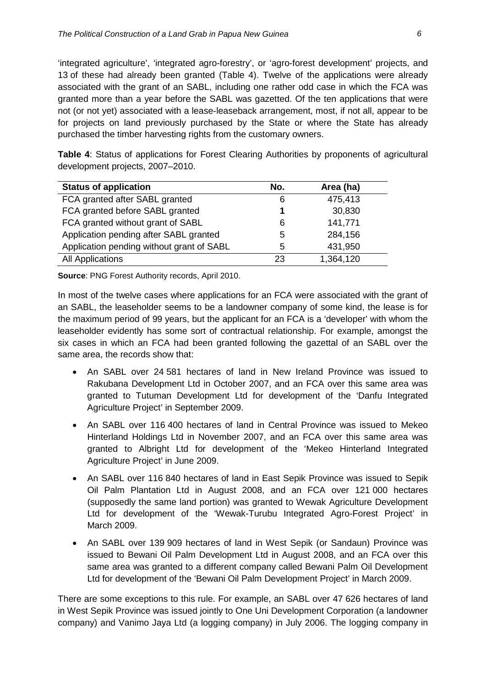'integrated agriculture', 'integrated agro-forestry', or 'agro-forest development' projects, and 13 of these had already been granted (Table 4). Twelve of the applications were already associated with the grant of an SABL, including one rather odd case in which the FCA was granted more than a year before the SABL was gazetted. Of the ten applications that were not (or not yet) associated with a lease-leaseback arrangement, most, if not all, appear to be for projects on land previously purchased by the State or where the State has already purchased the timber harvesting rights from the customary owners.

**Table 4**: Status of applications for Forest Clearing Authorities by proponents of agricultural development projects, 2007–2010.

| <b>Status of application</b>              | No. | Area (ha) |
|-------------------------------------------|-----|-----------|
| FCA granted after SABL granted            | 6   | 475,413   |
| FCA granted before SABL granted           | 1   | 30,830    |
| FCA granted without grant of SABL         | 6   | 141,771   |
| Application pending after SABL granted    | 5   | 284,156   |
| Application pending without grant of SABL | 5   | 431,950   |
| <b>All Applications</b>                   | 23  | 1,364,120 |

**Source**: PNG Forest Authority records, April 2010.

In most of the twelve cases where applications for an FCA were associated with the grant of an SABL, the leaseholder seems to be a landowner company of some kind, the lease is for the maximum period of 99 years, but the applicant for an FCA is a 'developer' with whom the leaseholder evidently has some sort of contractual relationship. For example, amongst the six cases in which an FCA had been granted following the gazettal of an SABL over the same area, the records show that:

- An SABL over 24 581 hectares of land in New Ireland Province was issued to Rakubana Development Ltd in October 2007, and an FCA over this same area was granted to Tutuman Development Ltd for development of the 'Danfu Integrated Agriculture Project' in September 2009.
- An SABL over 116 400 hectares of land in Central Province was issued to Mekeo Hinterland Holdings Ltd in November 2007, and an FCA over this same area was granted to Albright Ltd for development of the 'Mekeo Hinterland Integrated Agriculture Project' in June 2009.
- An SABL over 116 840 hectares of land in East Sepik Province was issued to Sepik Oil Palm Plantation Ltd in August 2008, and an FCA over 121 000 hectares (supposedly the same land portion) was granted to Wewak Agriculture Development Ltd for development of the 'Wewak-Turubu Integrated Agro-Forest Project' in March 2009.
- An SABL over 139 909 hectares of land in West Sepik (or Sandaun) Province was issued to Bewani Oil Palm Development Ltd in August 2008, and an FCA over this same area was granted to a different company called Bewani Palm Oil Development Ltd for development of the 'Bewani Oil Palm Development Project' in March 2009.

There are some exceptions to this rule. For example, an SABL over 47 626 hectares of land in West Sepik Province was issued jointly to One Uni Development Corporation (a landowner company) and Vanimo Jaya Ltd (a logging company) in July 2006. The logging company in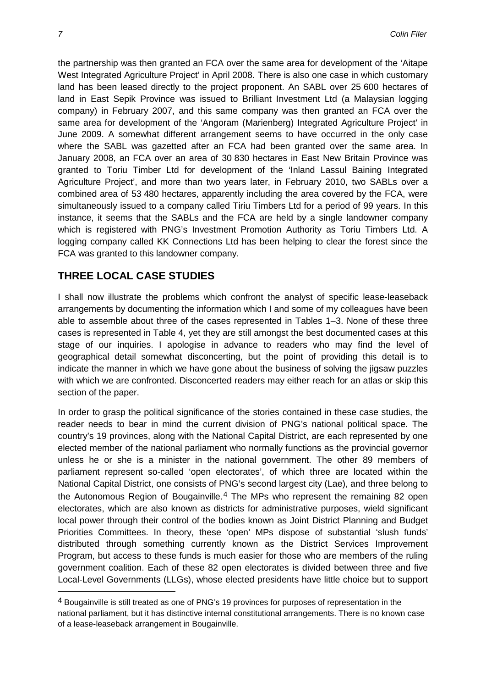the partnership was then granted an FCA over the same area for development of the 'Aitape West Integrated Agriculture Project' in April 2008. There is also one case in which customary land has been leased directly to the project proponent. An SABL over 25 600 hectares of land in East Sepik Province was issued to Brilliant Investment Ltd (a Malaysian logging company) in February 2007, and this same company was then granted an FCA over the same area for development of the 'Angoram (Marienberg) Integrated Agriculture Project' in June 2009. A somewhat different arrangement seems to have occurred in the only case where the SABL was gazetted after an FCA had been granted over the same area. In January 2008, an FCA over an area of 30 830 hectares in East New Britain Province was granted to Toriu Timber Ltd for development of the 'Inland Lassul Baining Integrated Agriculture Project', and more than two years later, in February 2010, two SABLs over a combined area of 53 480 hectares, apparently including the area covered by the FCA, were simultaneously issued to a company called Tiriu Timbers Ltd for a period of 99 years. In this instance, it seems that the SABLs and the FCA are held by a single landowner company which is registered with PNG's Investment Promotion Authority as Toriu Timbers Ltd. A logging company called KK Connections Ltd has been helping to clear the forest since the FCA was granted to this landowner company.

#### **THREE LOCAL CASE STUDIES**

I shall now illustrate the problems which confront the analyst of specific lease-leaseback arrangements by documenting the information which I and some of my colleagues have been able to assemble about three of the cases represented in Tables 1–3. None of these three cases is represented in Table 4, yet they are still amongst the best documented cases at this stage of our inquiries. I apologise in advance to readers who may find the level of geographical detail somewhat disconcerting, but the point of providing this detail is to indicate the manner in which we have gone about the business of solving the jigsaw puzzles with which we are confronted. Disconcerted readers may either reach for an atlas or skip this section of the paper.

In order to grasp the political significance of the stories contained in these case studies, the reader needs to bear in mind the current division of PNG's national political space. The country's 19 provinces, along with the National Capital District, are each represented by one elected member of the national parliament who normally functions as the provincial governor unless he or she is a minister in the national government. The other 89 members of parliament represent so-called 'open electorates', of which three are located within the National Capital District, one consists of PNG's second largest city (Lae), and three belong to the Autonomous Region of Bougainville.[4](#page-5-0) The MPs who represent the remaining 82 open electorates, which are also known as districts for administrative purposes, wield significant local power through their control of the bodies known as Joint District Planning and Budget Priorities Committees. In theory, these 'open' MPs dispose of substantial 'slush funds' distributed through something currently known as the District Services Improvement Program, but access to these funds is much easier for those who are members of the ruling government coalition. Each of these 82 open electorates is divided between three and five Local-Level Governments (LLGs), whose elected presidents have little choice but to support

 $\overline{a}$ 

<span id="page-7-0"></span><sup>4</sup> Bougainville is still treated as one of PNG's 19 provinces for purposes of representation in the national parliament, but it has distinctive internal constitutional arrangements. There is no known case of a lease-leaseback arrangement in Bougainville.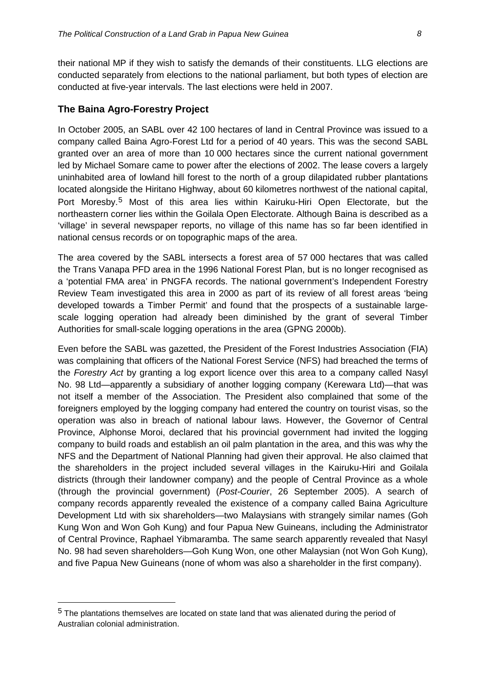their national MP if they wish to satisfy the demands of their constituents. LLG elections are conducted separately from elections to the national parliament, but both types of election are conducted at five-year intervals. The last elections were held in 2007.

#### **The Baina Agro-Forestry Project**

In October 2005, an SABL over 42 100 hectares of land in Central Province was issued to a company called Baina Agro-Forest Ltd for a period of 40 years. This was the second SABL granted over an area of more than 10 000 hectares since the current national government led by Michael Somare came to power after the elections of 2002. The lease covers a largely uninhabited area of lowland hill forest to the north of a group dilapidated rubber plantations located alongside the Hiritano Highway, about 60 kilometres northwest of the national capital, Port Moresby.[5](#page-7-0) Most of this area lies within Kairuku-Hiri Open Electorate, but the northeastern corner lies within the Goilala Open Electorate. Although Baina is described as a 'village' in several newspaper reports, no village of this name has so far been identified in national census records or on topographic maps of the area.

The area covered by the SABL intersects a forest area of 57 000 hectares that was called the Trans Vanapa PFD area in the 1996 National Forest Plan, but is no longer recognised as a 'potential FMA area' in PNGFA records. The national government's Independent Forestry Review Team investigated this area in 2000 as part of its review of all forest areas 'being developed towards a Timber Permit' and found that the prospects of a sustainable largescale logging operation had already been diminished by the grant of several Timber Authorities for small-scale logging operations in the area (GPNG 2000b).

Even before the SABL was gazetted, the President of the Forest Industries Association (FIA) was complaining that officers of the National Forest Service (NFS) had breached the terms of the *Forestry Act* by granting a log export licence over this area to a company called Nasyl No. 98 Ltd—apparently a subsidiary of another logging company (Kerewara Ltd)—that was not itself a member of the Association. The President also complained that some of the foreigners employed by the logging company had entered the country on tourist visas, so the operation was also in breach of national labour laws. However, the Governor of Central Province, Alphonse Moroi, declared that his provincial government had invited the logging company to build roads and establish an oil palm plantation in the area, and this was why the NFS and the Department of National Planning had given their approval. He also claimed that the shareholders in the project included several villages in the Kairuku-Hiri and Goilala districts (through their landowner company) and the people of Central Province as a whole (through the provincial government) (*Post-Courier*, 26 September 2005). A search of company records apparently revealed the existence of a company called Baina Agriculture Development Ltd with six shareholders—two Malaysians with strangely similar names (Goh Kung Won and Won Goh Kung) and four Papua New Guineans, including the Administrator of Central Province, Raphael Yibmaramba. The same search apparently revealed that Nasyl No. 98 had seven shareholders—Goh Kung Won, one other Malaysian (not Won Goh Kung), and five Papua New Guineans (none of whom was also a shareholder in the first company).

<span id="page-8-0"></span><sup>5</sup> The plantations themselves are located on state land that was alienated during the period of Australian colonial administration.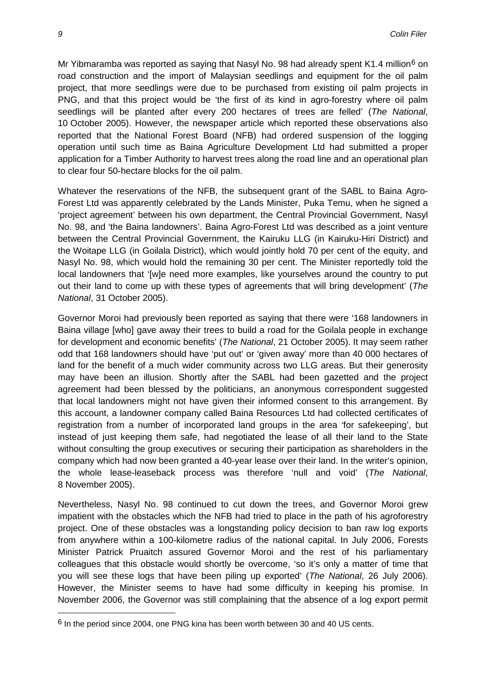Mr Yibmaramba was reported as saying that Nasyl No. 98 had already spent K1.4 million<sup>[6](#page-8-0)</sup> on road construction and the import of Malaysian seedlings and equipment for the oil palm project, that more seedlings were due to be purchased from existing oil palm projects in PNG, and that this project would be 'the first of its kind in agro-forestry where oil palm seedlings will be planted after every 200 hectares of trees are felled' (*The National*, 10 October 2005). However, the newspaper article which reported these observations also reported that the National Forest Board (NFB) had ordered suspension of the logging operation until such time as Baina Agriculture Development Ltd had submitted a proper application for a Timber Authority to harvest trees along the road line and an operational plan to clear four 50-hectare blocks for the oil palm.

Whatever the reservations of the NFB, the subsequent grant of the SABL to Baina Agro-Forest Ltd was apparently celebrated by the Lands Minister, Puka Temu, when he signed a 'project agreement' between his own department, the Central Provincial Government, Nasyl No. 98, and 'the Baina landowners'. Baina Agro-Forest Ltd was described as a joint venture between the Central Provincial Government, the Kairuku LLG (in Kairuku-Hiri District) and the Woitape LLG (in Goilala District), which would jointly hold 70 per cent of the equity, and Nasyl No. 98, which would hold the remaining 30 per cent. The Minister reportedly told the local landowners that '[w]e need more examples, like yourselves around the country to put out their land to come up with these types of agreements that will bring development' (*The National*, 31 October 2005).

Governor Moroi had previously been reported as saying that there were '168 landowners in Baina village [who] gave away their trees to build a road for the Goilala people in exchange for development and economic benefits' (*The National*, 21 October 2005). It may seem rather odd that 168 landowners should have 'put out' or 'given away' more than 40 000 hectares of land for the benefit of a much wider community across two LLG areas. But their generosity may have been an illusion. Shortly after the SABL had been gazetted and the project agreement had been blessed by the politicians, an anonymous correspondent suggested that local landowners might not have given their informed consent to this arrangement. By this account, a landowner company called Baina Resources Ltd had collected certificates of registration from a number of incorporated land groups in the area 'for safekeeping', but instead of just keeping them safe, had negotiated the lease of all their land to the State without consulting the group executives or securing their participation as shareholders in the company which had now been granted a 40-year lease over their land. In the writer's opinion, the whole lease-leaseback process was therefore 'null and void' (*The National*, 8 November 2005).

Nevertheless, Nasyl No. 98 continued to cut down the trees, and Governor Moroi grew impatient with the obstacles which the NFB had tried to place in the path of his agroforestry project. One of these obstacles was a longstanding policy decision to ban raw log exports from anywhere within a 100-kilometre radius of the national capital. In July 2006, Forests Minister Patrick Pruaitch assured Governor Moroi and the rest of his parliamentary colleagues that this obstacle would shortly be overcome, 'so it's only a matter of time that you will see these logs that have been piling up exported' (*The National*, 26 July 2006). However, the Minister seems to have had some difficulty in keeping his promise. In November 2006, the Governor was still complaining that the absence of a log export permit

<span id="page-9-0"></span><sup>6</sup> In the period since 2004, one PNG kina has been worth between 30 and 40 US cents.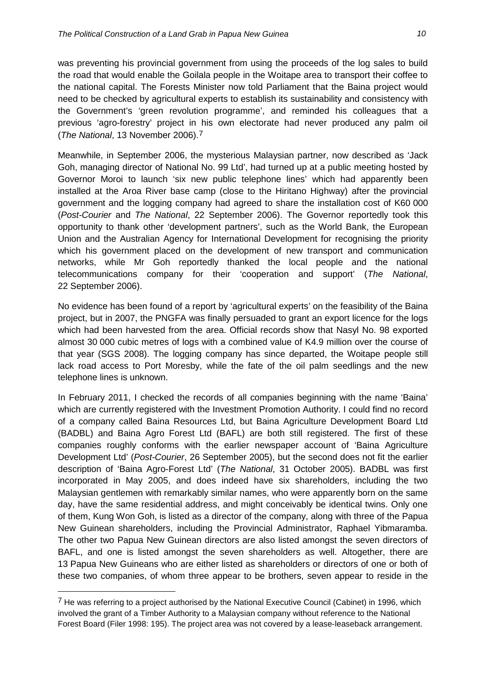was preventing his provincial government from using the proceeds of the log sales to build the road that would enable the Goilala people in the Woitape area to transport their coffee to the national capital. The Forests Minister now told Parliament that the Baina project would need to be checked by agricultural experts to establish its sustainability and consistency with the Government's 'green revolution programme', and reminded his colleagues that a previous 'agro-forestry' project in his own electorate had never produced any palm oil (*The National*, 13 November 2006).[7](#page-9-0)

Meanwhile, in September 2006, the mysterious Malaysian partner, now described as 'Jack Goh, managing director of National No. 99 Ltd', had turned up at a public meeting hosted by Governor Moroi to launch 'six new public telephone lines' which had apparently been installed at the Aroa River base camp (close to the Hiritano Highway) after the provincial government and the logging company had agreed to share the installation cost of K60 000 (*Post-Courier* and *The National*, 22 September 2006). The Governor reportedly took this opportunity to thank other 'development partners', such as the World Bank, the European Union and the Australian Agency for International Development for recognising the priority which his government placed on the development of new transport and communication networks, while Mr Goh reportedly thanked the local people and the national telecommunications company for their 'cooperation and support' (*The National*, 22 September 2006).

No evidence has been found of a report by 'agricultural experts' on the feasibility of the Baina project, but in 2007, the PNGFA was finally persuaded to grant an export licence for the logs which had been harvested from the area. Official records show that Nasyl No. 98 exported almost 30 000 cubic metres of logs with a combined value of K4.9 million over the course of that year (SGS 2008). The logging company has since departed, the Woitape people still lack road access to Port Moresby, while the fate of the oil palm seedlings and the new telephone lines is unknown.

In February 2011, I checked the records of all companies beginning with the name 'Baina' which are currently registered with the Investment Promotion Authority. I could find no record of a company called Baina Resources Ltd, but Baina Agriculture Development Board Ltd (BADBL) and Baina Agro Forest Ltd (BAFL) are both still registered. The first of these companies roughly conforms with the earlier newspaper account of 'Baina Agriculture Development Ltd' (*Post-Courier*, 26 September 2005), but the second does not fit the earlier description of 'Baina Agro-Forest Ltd' (*The National*, 31 October 2005). BADBL was first incorporated in May 2005, and does indeed have six shareholders, including the two Malaysian gentlemen with remarkably similar names, who were apparently born on the same day, have the same residential address, and might conceivably be identical twins. Only one of them, Kung Won Goh, is listed as a director of the company, along with three of the Papua New Guinean shareholders, including the Provincial Administrator, Raphael Yibmaramba. The other two Papua New Guinean directors are also listed amongst the seven directors of BAFL, and one is listed amongst the seven shareholders as well. Altogether, there are 13 Papua New Guineans who are either listed as shareholders or directors of one or both of these two companies, of whom three appear to be brothers, seven appear to reside in the

 $\overline{a}$ 

<span id="page-10-0"></span><sup>&</sup>lt;sup>7</sup> He was referring to a project authorised by the National Executive Council (Cabinet) in 1996, which involved the grant of a Timber Authority to a Malaysian company without reference to the National Forest Board (Filer 1998: 195). The project area was not covered by a lease-leaseback arrangement.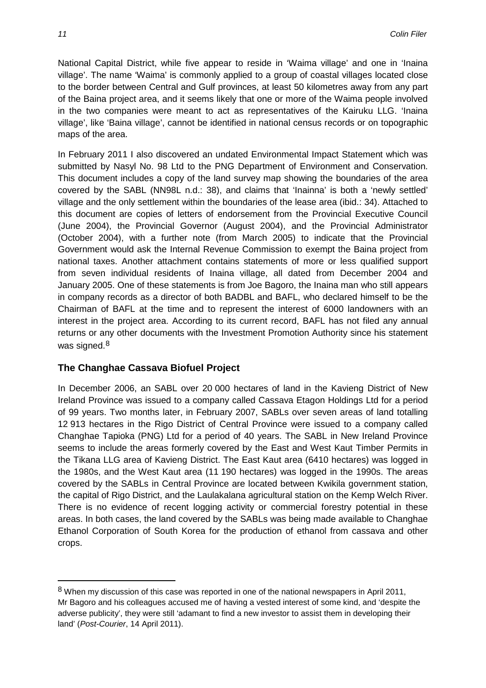National Capital District, while five appear to reside in 'Waima village' and one in 'Inaina village'. The name 'Waima' is commonly applied to a group of coastal villages located close to the border between Central and Gulf provinces, at least 50 kilometres away from any part of the Baina project area, and it seems likely that one or more of the Waima people involved in the two companies were meant to act as representatives of the Kairuku LLG. 'Inaina village', like 'Baina village', cannot be identified in national census records or on topographic maps of the area.

In February 2011 I also discovered an undated Environmental Impact Statement which was submitted by Nasyl No. 98 Ltd to the PNG Department of Environment and Conservation. This document includes a copy of the land survey map showing the boundaries of the area covered by the SABL (NN98L n.d.: 38), and claims that 'Inainna' is both a 'newly settled' village and the only settlement within the boundaries of the lease area (ibid.: 34). Attached to this document are copies of letters of endorsement from the Provincial Executive Council (June 2004), the Provincial Governor (August 2004), and the Provincial Administrator (October 2004), with a further note (from March 2005) to indicate that the Provincial Government would ask the Internal Revenue Commission to exempt the Baina project from national taxes. Another attachment contains statements of more or less qualified support from seven individual residents of Inaina village, all dated from December 2004 and January 2005. One of these statements is from Joe Bagoro, the Inaina man who still appears in company records as a director of both BADBL and BAFL, who declared himself to be the Chairman of BAFL at the time and to represent the interest of 6000 landowners with an interest in the project area. According to its current record, BAFL has not filed any annual returns or any other documents with the Investment Promotion Authority since his statement was signed. $8$ 

#### **The Changhae Cassava Biofuel Project**

In December 2006, an SABL over 20 000 hectares of land in the Kavieng District of New Ireland Province was issued to a company called Cassava Etagon Holdings Ltd for a period of 99 years. Two months later, in February 2007, SABLs over seven areas of land totalling 12 913 hectares in the Rigo District of Central Province were issued to a company called Changhae Tapioka (PNG) Ltd for a period of 40 years. The SABL in New Ireland Province seems to include the areas formerly covered by the East and West Kaut Timber Permits in the Tikana LLG area of Kavieng District. The East Kaut area (6410 hectares) was logged in the 1980s, and the West Kaut area (11 190 hectares) was logged in the 1990s. The areas covered by the SABLs in Central Province are located between Kwikila government station, the capital of Rigo District, and the Laulakalana agricultural station on the Kemp Welch River. There is no evidence of recent logging activity or commercial forestry potential in these areas. In both cases, the land covered by the SABLs was being made available to Changhae Ethanol Corporation of South Korea for the production of ethanol from cassava and other crops.

1

<span id="page-11-0"></span><sup>8</sup> When my discussion of this case was reported in one of the national newspapers in April 2011, Mr Bagoro and his colleagues accused me of having a vested interest of some kind, and 'despite the adverse publicity', they were still 'adamant to find a new investor to assist them in developing their land' (*Post-Courier*, 14 April 2011).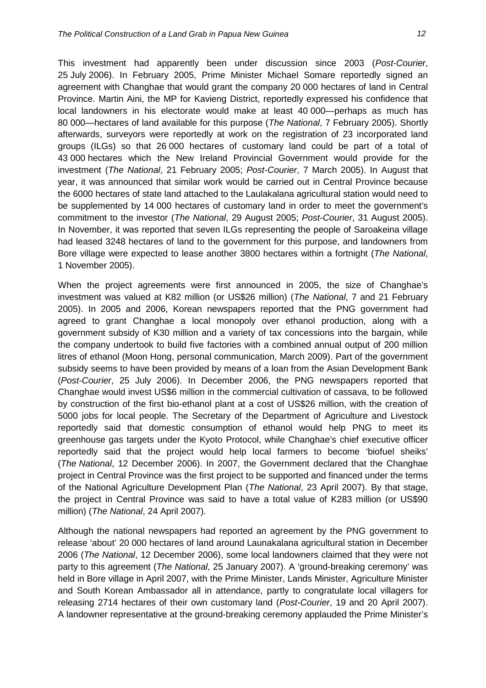This investment had apparently been under discussion since 2003 (*Post-Courier*, 25 July 2006). In February 2005, Prime Minister Michael Somare reportedly signed an agreement with Changhae that would grant the company 20 000 hectares of land in Central Province. Martin Aini, the MP for Kavieng District, reportedly expressed his confidence that local landowners in his electorate would make at least 40 000—perhaps as much has 80 000—hectares of land available for this purpose (*The National*, 7 February 2005). Shortly afterwards, surveyors were reportedly at work on the registration of 23 incorporated land groups (ILGs) so that 26 000 hectares of customary land could be part of a total of 43 000 hectares which the New Ireland Provincial Government would provide for the investment (*The National*, 21 February 2005; *Post-Courier*, 7 March 2005). In August that year, it was announced that similar work would be carried out in Central Province because the 6000 hectares of state land attached to the Laulakalana agricultural station would need to be supplemented by 14 000 hectares of customary land in order to meet the government's commitment to the investor (*The National*, 29 August 2005; *Post-Courier*, 31 August 2005). In November, it was reported that seven ILGs representing the people of Saroakeina village had leased 3248 hectares of land to the government for this purpose, and landowners from Bore village were expected to lease another 3800 hectares within a fortnight (*The National*, 1 November 2005).

When the project agreements were first announced in 2005, the size of Changhae's investment was valued at K82 million (or US\$26 million) (*The National*, 7 and 21 February 2005). In 2005 and 2006, Korean newspapers reported that the PNG government had agreed to grant Changhae a local monopoly over ethanol production, along with a government subsidy of K30 million and a variety of tax concessions into the bargain, while the company undertook to build five factories with a combined annual output of 200 million litres of ethanol (Moon Hong, personal communication, March 2009). Part of the government subsidy seems to have been provided by means of a loan from the Asian Development Bank (*Post-Courier*, 25 July 2006). In December 2006, the PNG newspapers reported that Changhae would invest US\$6 million in the commercial cultivation of cassava, to be followed by construction of the first bio-ethanol plant at a cost of US\$26 million, with the creation of 5000 jobs for local people. The Secretary of the Department of Agriculture and Livestock reportedly said that domestic consumption of ethanol would help PNG to meet its greenhouse gas targets under the Kyoto Protocol, while Changhae's chief executive officer reportedly said that the project would help local farmers to become 'biofuel sheiks' (*The National*, 12 December 2006). In 2007, the Government declared that the Changhae project in Central Province was the first project to be supported and financed under the terms of the National Agriculture Development Plan (*The National*, 23 April 2007). By that stage, the project in Central Province was said to have a total value of K283 million (or US\$90 million) (*The National*, 24 April 2007).

Although the national newspapers had reported an agreement by the PNG government to release 'about' 20 000 hectares of land around Launakalana agricultural station in December 2006 (*The National*, 12 December 2006), some local landowners claimed that they were not party to this agreement (*The National*, 25 January 2007). A 'ground-breaking ceremony' was held in Bore village in April 2007, with the Prime Minister, Lands Minister, Agriculture Minister and South Korean Ambassador all in attendance, partly to congratulate local villagers for releasing 2714 hectares of their own customary land (*Post-Courier*, 19 and 20 April 2007). A landowner representative at the ground-breaking ceremony applauded the Prime Minister's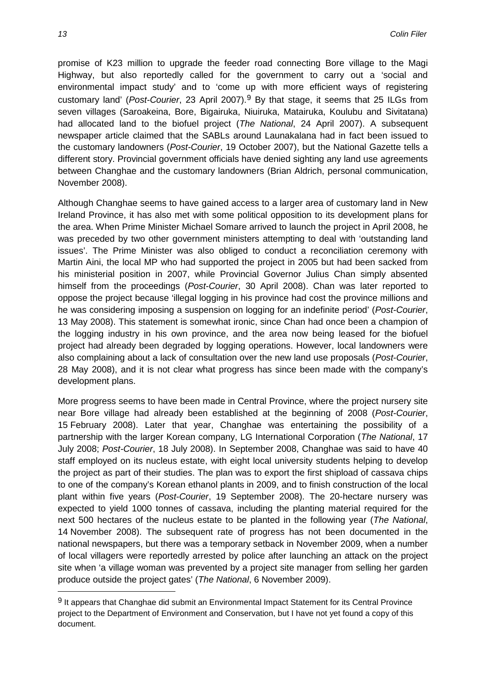promise of K23 million to upgrade the feeder road connecting Bore village to the Magi Highway, but also reportedly called for the government to carry out a 'social and environmental impact study' and to 'come up with more efficient ways of registering customary land' (*Post-Courier*, 23 April 2007).[9](#page-11-0) By that stage, it seems that 25 ILGs from seven villages (Saroakeina, Bore, Bigairuka, Niuiruka, Matairuka, Koulubu and Sivitatana) had allocated land to the biofuel project (*The National*, 24 April 2007). A subsequent newspaper article claimed that the SABLs around Launakalana had in fact been issued to the customary landowners (*Post-Courier*, 19 October 2007), but the National Gazette tells a different story. Provincial government officials have denied sighting any land use agreements between Changhae and the customary landowners (Brian Aldrich, personal communication, November 2008).

Although Changhae seems to have gained access to a larger area of customary land in New Ireland Province, it has also met with some political opposition to its development plans for the area. When Prime Minister Michael Somare arrived to launch the project in April 2008, he was preceded by two other government ministers attempting to deal with 'outstanding land issues'. The Prime Minister was also obliged to conduct a reconciliation ceremony with Martin Aini, the local MP who had supported the project in 2005 but had been sacked from his ministerial position in 2007, while Provincial Governor Julius Chan simply absented himself from the proceedings (*Post-Courier*, 30 April 2008). Chan was later reported to oppose the project because 'illegal logging in his province had cost the province millions and he was considering imposing a suspension on logging for an indefinite period' (*Post-Courier*, 13 May 2008). This statement is somewhat ironic, since Chan had once been a champion of the logging industry in his own province, and the area now being leased for the biofuel project had already been degraded by logging operations. However, local landowners were also complaining about a lack of consultation over the new land use proposals (*Post-Courier*, 28 May 2008), and it is not clear what progress has since been made with the company's development plans.

More progress seems to have been made in Central Province, where the project nursery site near Bore village had already been established at the beginning of 2008 (*Post-Courier*, 15 February 2008). Later that year, Changhae was entertaining the possibility of a partnership with the larger Korean company, LG International Corporation (*The National*, 17 July 2008; *Post-Courier*, 18 July 2008). In September 2008, Changhae was said to have 40 staff employed on its nucleus estate, with eight local university students helping to develop the project as part of their studies. The plan was to export the first shipload of cassava chips to one of the company's Korean ethanol plants in 2009, and to finish construction of the local plant within five years (*Post-Courier*, 19 September 2008). The 20-hectare nursery was expected to yield 1000 tonnes of cassava, including the planting material required for the next 500 hectares of the nucleus estate to be planted in the following year (*The National*, 14 November 2008). The subsequent rate of progress has not been documented in the national newspapers, but there was a temporary setback in November 2009, when a number of local villagers were reportedly arrested by police after launching an attack on the project site when 'a village woman was prevented by a project site manager from selling her garden produce outside the project gates' (*The National*, 6 November 2009).

<span id="page-13-0"></span> $\overline{a}$ 

<sup>&</sup>lt;sup>9</sup> It appears that Changhae did submit an Environmental Impact Statement for its Central Province project to the Department of Environment and Conservation, but I have not yet found a copy of this document.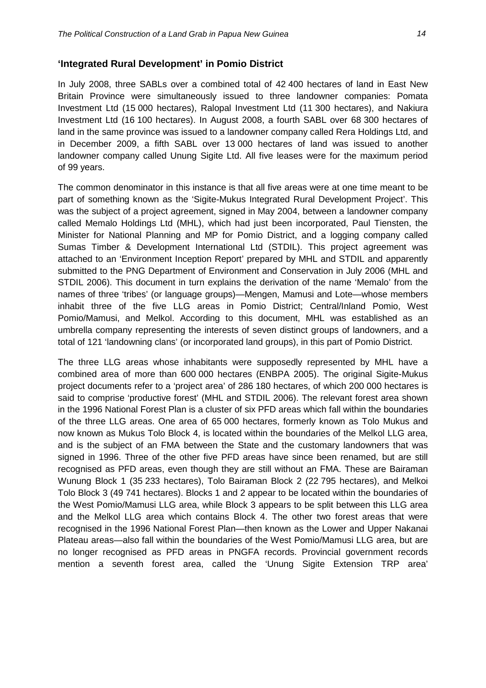In July 2008, three SABLs over a combined total of 42 400 hectares of land in East New Britain Province were simultaneously issued to three landowner companies: Pomata Investment Ltd (15 000 hectares), Ralopal Investment Ltd (11 300 hectares), and Nakiura Investment Ltd (16 100 hectares). In August 2008, a fourth SABL over 68 300 hectares of land in the same province was issued to a landowner company called Rera Holdings Ltd, and in December 2009, a fifth SABL over 13 000 hectares of land was issued to another landowner company called Unung Sigite Ltd. All five leases were for the maximum period of 99 years.

The common denominator in this instance is that all five areas were at one time meant to be part of something known as the 'Sigite-Mukus Integrated Rural Development Project'. This was the subject of a project agreement, signed in May 2004, between a landowner company called Memalo Holdings Ltd (MHL), which had just been incorporated, Paul Tiensten, the Minister for National Planning and MP for Pomio District, and a logging company called Sumas Timber & Development International Ltd (STDIL). This project agreement was attached to an 'Environment Inception Report' prepared by MHL and STDIL and apparently submitted to the PNG Department of Environment and Conservation in July 2006 (MHL and STDIL 2006). This document in turn explains the derivation of the name 'Memalo' from the names of three 'tribes' (or language groups)—Mengen, Mamusi and Lote—whose members inhabit three of the five LLG areas in Pomio District; Central/Inland Pomio, West Pomio/Mamusi, and Melkol. According to this document, MHL was established as an umbrella company representing the interests of seven distinct groups of landowners, and a total of 121 'landowning clans' (or incorporated land groups), in this part of Pomio District.

The three LLG areas whose inhabitants were supposedly represented by MHL have a combined area of more than 600 000 hectares (ENBPA 2005). The original Sigite-Mukus project documents refer to a 'project area' of 286 180 hectares, of which 200 000 hectares is said to comprise 'productive forest' (MHL and STDIL 2006). The relevant forest area shown in the 1996 National Forest Plan is a cluster of six PFD areas which fall within the boundaries of the three LLG areas. One area of 65 000 hectares, formerly known as Tolo Mukus and now known as Mukus Tolo Block 4, is located within the boundaries of the Melkol LLG area, and is the subject of an FMA between the State and the customary landowners that was signed in 1996. Three of the other five PFD areas have since been renamed, but are still recognised as PFD areas, even though they are still without an FMA. These are Bairaman Wunung Block 1 (35 233 hectares), Tolo Bairaman Block 2 (22 795 hectares), and Melkoi Tolo Block 3 (49 741 hectares). Blocks 1 and 2 appear to be located within the boundaries of the West Pomio/Mamusi LLG area, while Block 3 appears to be split between this LLG area and the Melkol LLG area which contains Block 4. The other two forest areas that were recognised in the 1996 National Forest Plan—then known as the Lower and Upper Nakanai Plateau areas—also fall within the boundaries of the West Pomio/Mamusi LLG area, but are no longer recognised as PFD areas in PNGFA records. Provincial government records mention a seventh forest area, called the 'Unung Sigite Extension TRP area'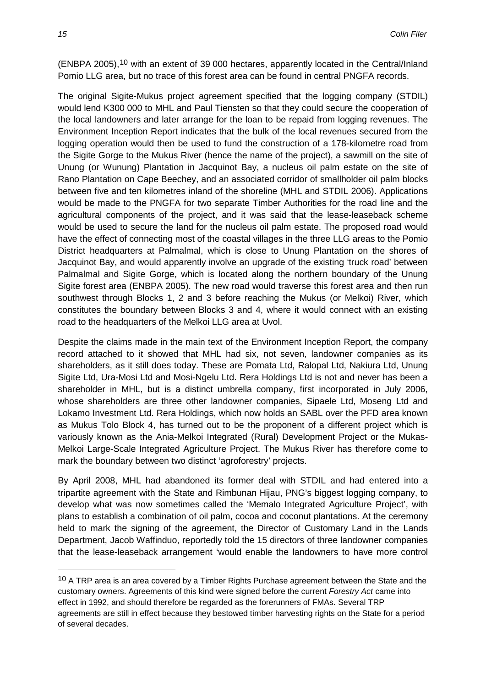(ENBPA 2005),[10](#page-13-0) with an extent of 39 000 hectares, apparently located in the Central/Inland Pomio LLG area, but no trace of this forest area can be found in central PNGFA records.

The original Sigite-Mukus project agreement specified that the logging company (STDIL) would lend K300 000 to MHL and Paul Tiensten so that they could secure the cooperation of the local landowners and later arrange for the loan to be repaid from logging revenues. The Environment Inception Report indicates that the bulk of the local revenues secured from the logging operation would then be used to fund the construction of a 178-kilometre road from the Sigite Gorge to the Mukus River (hence the name of the project), a sawmill on the site of Unung (or Wunung) Plantation in Jacquinot Bay, a nucleus oil palm estate on the site of Rano Plantation on Cape Beechey, and an associated corridor of smallholder oil palm blocks between five and ten kilometres inland of the shoreline (MHL and STDIL 2006). Applications would be made to the PNGFA for two separate Timber Authorities for the road line and the agricultural components of the project, and it was said that the lease-leaseback scheme would be used to secure the land for the nucleus oil palm estate. The proposed road would have the effect of connecting most of the coastal villages in the three LLG areas to the Pomio District headquarters at Palmalmal, which is close to Unung Plantation on the shores of Jacquinot Bay, and would apparently involve an upgrade of the existing 'truck road' between Palmalmal and Sigite Gorge, which is located along the northern boundary of the Unung Sigite forest area (ENBPA 2005). The new road would traverse this forest area and then run southwest through Blocks 1, 2 and 3 before reaching the Mukus (or Melkoi) River, which constitutes the boundary between Blocks 3 and 4, where it would connect with an existing road to the headquarters of the Melkoi LLG area at Uvol.

Despite the claims made in the main text of the Environment Inception Report, the company record attached to it showed that MHL had six, not seven, landowner companies as its shareholders, as it still does today. These are Pomata Ltd, Ralopal Ltd, Nakiura Ltd, Unung Sigite Ltd, Ura-Mosi Ltd and Mosi-Ngelu Ltd. Rera Holdings Ltd is not and never has been a shareholder in MHL, but is a distinct umbrella company, first incorporated in July 2006, whose shareholders are three other landowner companies, Sipaele Ltd, Moseng Ltd and Lokamo Investment Ltd. Rera Holdings, which now holds an SABL over the PFD area known as Mukus Tolo Block 4, has turned out to be the proponent of a different project which is variously known as the Ania-Melkoi Integrated (Rural) Development Project or the Mukas-Melkoi Large-Scale Integrated Agriculture Project. The Mukus River has therefore come to mark the boundary between two distinct 'agroforestry' projects.

By April 2008, MHL had abandoned its former deal with STDIL and had entered into a tripartite agreement with the State and Rimbunan Hijau, PNG's biggest logging company, to develop what was now sometimes called the 'Memalo Integrated Agriculture Project', with plans to establish a combination of oil palm, cocoa and coconut plantations. At the ceremony held to mark the signing of the agreement, the Director of Customary Land in the Lands Department, Jacob Waffinduo, reportedly told the 15 directors of three landowner companies that the lease-leaseback arrangement 'would enable the landowners to have more control

<span id="page-15-0"></span><sup>&</sup>lt;sup>10</sup> A TRP area is an area covered by a Timber Rights Purchase agreement between the State and the customary owners. Agreements of this kind were signed before the current *Forestry Act* came into effect in 1992, and should therefore be regarded as the forerunners of FMAs. Several TRP agreements are still in effect because they bestowed timber harvesting rights on the State for a period of several decades.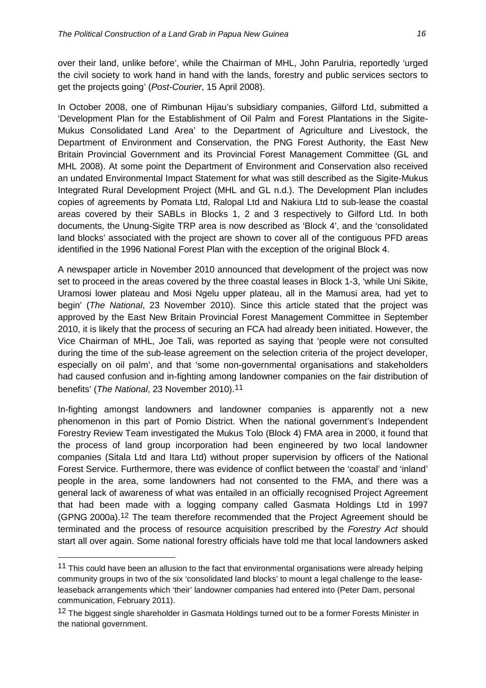over their land, unlike before', while the Chairman of MHL, John Parulria, reportedly 'urged the civil society to work hand in hand with the lands, forestry and public services sectors to get the projects going' (*Post-Courier*, 15 April 2008).

In October 2008, one of Rimbunan Hijau's subsidiary companies, Gilford Ltd, submitted a 'Development Plan for the Establishment of Oil Palm and Forest Plantations in the Sigite-Mukus Consolidated Land Area' to the Department of Agriculture and Livestock, the Department of Environment and Conservation, the PNG Forest Authority, the East New Britain Provincial Government and its Provincial Forest Management Committee (GL and MHL 2008). At some point the Department of Environment and Conservation also received an undated Environmental Impact Statement for what was still described as the Sigite-Mukus Integrated Rural Development Project (MHL and GL n.d.). The Development Plan includes copies of agreements by Pomata Ltd, Ralopal Ltd and Nakiura Ltd to sub-lease the coastal areas covered by their SABLs in Blocks 1, 2 and 3 respectively to Gilford Ltd. In both documents, the Unung-Sigite TRP area is now described as 'Block 4', and the 'consolidated land blocks' associated with the project are shown to cover all of the contiguous PFD areas identified in the 1996 National Forest Plan with the exception of the original Block 4.

A newspaper article in November 2010 announced that development of the project was now set to proceed in the areas covered by the three coastal leases in Block 1-3, 'while Uni Sikite, Uramosi lower plateau and Mosi Ngelu upper plateau, all in the Mamusi area, had yet to begin' (*The National*, 23 November 2010). Since this article stated that the project was approved by the East New Britain Provincial Forest Management Committee in September 2010, it is likely that the process of securing an FCA had already been initiated. However, the Vice Chairman of MHL, Joe Tali, was reported as saying that 'people were not consulted during the time of the sub-lease agreement on the selection criteria of the project developer, especially on oil palm', and that 'some non-governmental organisations and stakeholders had caused confusion and in-fighting among landowner companies on the fair distribution of benefits' (*The National*, 23 November 2010).[11](#page-15-0)

In-fighting amongst landowners and landowner companies is apparently not a new phenomenon in this part of Pomio District. When the national government's Independent Forestry Review Team investigated the Mukus Tolo (Block 4) FMA area in 2000, it found that the process of land group incorporation had been engineered by two local landowner companies (Sitala Ltd and Itara Ltd) without proper supervision by officers of the National Forest Service. Furthermore, there was evidence of conflict between the 'coastal' and 'inland' people in the area, some landowners had not consented to the FMA, and there was a general lack of awareness of what was entailed in an officially recognised Project Agreement that had been made with a logging company called Gasmata Holdings Ltd in 1997 (GPNG 2000a).[12](#page-16-0) The team therefore recommended that the Project Agreement should be terminated and the process of resource acquisition prescribed by the *Forestry Act* should start all over again. Some national forestry officials have told me that local landowners asked

 $\overline{a}$ 

 $11$  This could have been an allusion to the fact that environmental organisations were already helping community groups in two of the six 'consolidated land blocks' to mount a legal challenge to the leaseleaseback arrangements which 'their' landowner companies had entered into (Peter Dam, personal communication, February 2011).

<span id="page-16-0"></span><sup>&</sup>lt;sup>12</sup> The biggest single shareholder in Gasmata Holdings turned out to be a former Forests Minister in the national government.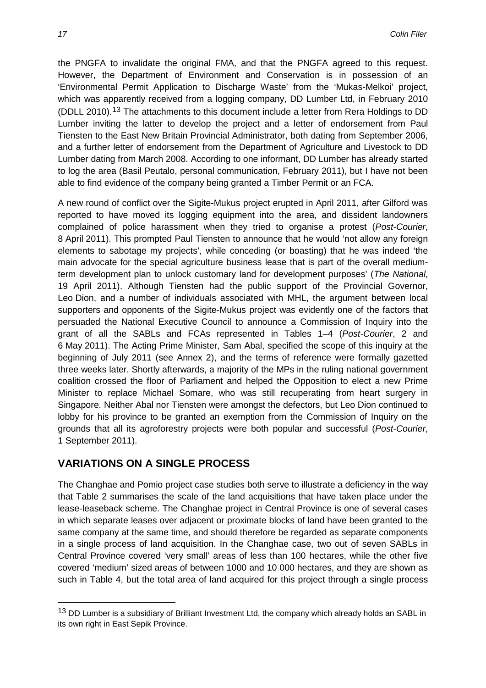the PNGFA to invalidate the original FMA, and that the PNGFA agreed to this request. However, the Department of Environment and Conservation is in possession of an 'Environmental Permit Application to Discharge Waste' from the 'Mukas-Melkoi' project, which was apparently received from a logging company, DD Lumber Ltd, in February 2010 (DDLL 2010).[13](#page-16-0) The attachments to this document include a letter from Rera Holdings to DD Lumber inviting the latter to develop the project and a letter of endorsement from Paul Tiensten to the East New Britain Provincial Administrator, both dating from September 2006, and a further letter of endorsement from the Department of Agriculture and Livestock to DD Lumber dating from March 2008. According to one informant, DD Lumber has already started to log the area (Basil Peutalo, personal communication, February 2011), but I have not been able to find evidence of the company being granted a Timber Permit or an FCA.

A new round of conflict over the Sigite-Mukus project erupted in April 2011, after Gilford was reported to have moved its logging equipment into the area, and dissident landowners complained of police harassment when they tried to organise a protest (*Post-Courier*, 8 April 2011). This prompted Paul Tiensten to announce that he would 'not allow any foreign elements to sabotage my projects', while conceding (or boasting) that he was indeed 'the main advocate for the special agriculture business lease that is part of the overall mediumterm development plan to unlock customary land for development purposes' (*The National*, 19 April 2011). Although Tiensten had the public support of the Provincial Governor, Leo Dion, and a number of individuals associated with MHL, the argument between local supporters and opponents of the Sigite-Mukus project was evidently one of the factors that persuaded the National Executive Council to announce a Commission of Inquiry into the grant of all the SABLs and FCAs represented in Tables 1–4 (*Post-Courier*, 2 and 6 May 2011). The Acting Prime Minister, Sam Abal, specified the scope of this inquiry at the beginning of July 2011 (see Annex 2), and the terms of reference were formally gazetted three weeks later. Shortly afterwards, a majority of the MPs in the ruling national government coalition crossed the floor of Parliament and helped the Opposition to elect a new Prime Minister to replace Michael Somare, who was still recuperating from heart surgery in Singapore. Neither Abal nor Tiensten were amongst the defectors, but Leo Dion continued to lobby for his province to be granted an exemption from the Commission of Inquiry on the grounds that all its agroforestry projects were both popular and successful (*Post-Courier*, 1 September 2011).

#### **VARIATIONS ON A SINGLE PROCESS**

The Changhae and Pomio project case studies both serve to illustrate a deficiency in the way that Table 2 summarises the scale of the land acquisitions that have taken place under the lease-leaseback scheme. The Changhae project in Central Province is one of several cases in which separate leases over adjacent or proximate blocks of land have been granted to the same company at the same time, and should therefore be regarded as separate components in a single process of land acquisition. In the Changhae case, two out of seven SABLs in Central Province covered 'very small' areas of less than 100 hectares, while the other five covered 'medium' sized areas of between 1000 and 10 000 hectares, and they are shown as such in Table 4, but the total area of land acquired for this project through a single process

<span id="page-17-0"></span><sup>13</sup> DD Lumber is a subsidiary of Brilliant Investment Ltd, the company which already holds an SABL in its own right in East Sepik Province.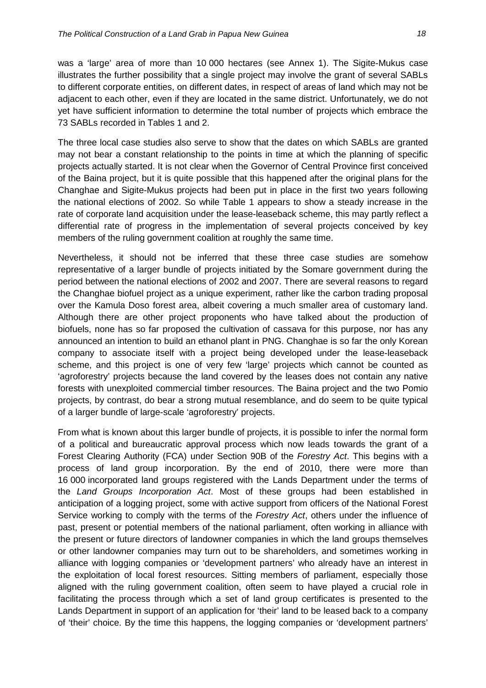was a 'large' area of more than 10 000 hectares (see Annex 1). The Sigite-Mukus case illustrates the further possibility that a single project may involve the grant of several SABLs to different corporate entities, on different dates, in respect of areas of land which may not be adjacent to each other, even if they are located in the same district. Unfortunately, we do not yet have sufficient information to determine the total number of projects which embrace the 73 SABLs recorded in Tables 1 and 2.

The three local case studies also serve to show that the dates on which SABLs are granted may not bear a constant relationship to the points in time at which the planning of specific projects actually started. It is not clear when the Governor of Central Province first conceived of the Baina project, but it is quite possible that this happened after the original plans for the Changhae and Sigite-Mukus projects had been put in place in the first two years following the national elections of 2002. So while Table 1 appears to show a steady increase in the rate of corporate land acquisition under the lease-leaseback scheme, this may partly reflect a differential rate of progress in the implementation of several projects conceived by key members of the ruling government coalition at roughly the same time.

Nevertheless, it should not be inferred that these three case studies are somehow representative of a larger bundle of projects initiated by the Somare government during the period between the national elections of 2002 and 2007. There are several reasons to regard the Changhae biofuel project as a unique experiment, rather like the carbon trading proposal over the Kamula Doso forest area, albeit covering a much smaller area of customary land. Although there are other project proponents who have talked about the production of biofuels, none has so far proposed the cultivation of cassava for this purpose, nor has any announced an intention to build an ethanol plant in PNG. Changhae is so far the only Korean company to associate itself with a project being developed under the lease-leaseback scheme, and this project is one of very few 'large' projects which cannot be counted as 'agroforestry' projects because the land covered by the leases does not contain any native forests with unexploited commercial timber resources. The Baina project and the two Pomio projects, by contrast, do bear a strong mutual resemblance, and do seem to be quite typical of a larger bundle of large-scale 'agroforestry' projects.

From what is known about this larger bundle of projects, it is possible to infer the normal form of a political and bureaucratic approval process which now leads towards the grant of a Forest Clearing Authority (FCA) under Section 90B of the *Forestry Act*. This begins with a process of land group incorporation. By the end of 2010, there were more than 16 000 incorporated land groups registered with the Lands Department under the terms of the *Land Groups Incorporation Act*. Most of these groups had been established in anticipation of a logging project, some with active support from officers of the National Forest Service working to comply with the terms of the *Forestry Act*, others under the influence of past, present or potential members of the national parliament, often working in alliance with the present or future directors of landowner companies in which the land groups themselves or other landowner companies may turn out to be shareholders, and sometimes working in alliance with logging companies or 'development partners' who already have an interest in the exploitation of local forest resources. Sitting members of parliament, especially those aligned with the ruling government coalition, often seem to have played a crucial role in facilitating the process through which a set of land group certificates is presented to the Lands Department in support of an application for 'their' land to be leased back to a company of 'their' choice. By the time this happens, the logging companies or 'development partners'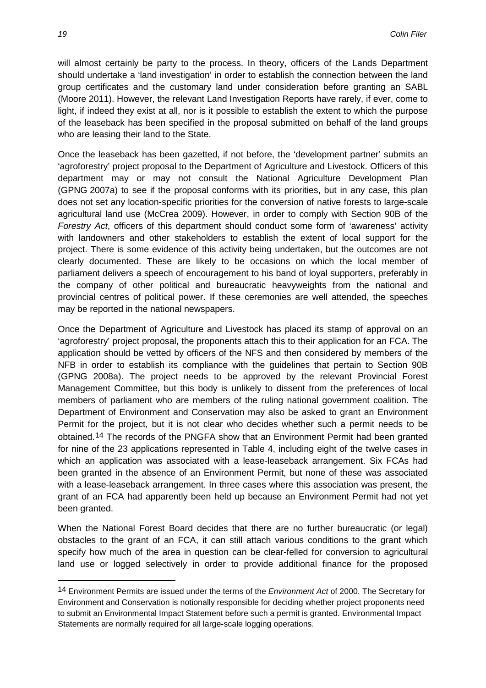will almost certainly be party to the process. In theory, officers of the Lands Department should undertake a 'land investigation' in order to establish the connection between the land group certificates and the customary land under consideration before granting an SABL (Moore 2011). However, the relevant Land Investigation Reports have rarely, if ever, come to light, if indeed they exist at all, nor is it possible to establish the extent to which the purpose of the leaseback has been specified in the proposal submitted on behalf of the land groups who are leasing their land to the State.

Once the leaseback has been gazetted, if not before, the 'development partner' submits an 'agroforestry' project proposal to the Department of Agriculture and Livestock. Officers of this department may or may not consult the National Agriculture Development Plan (GPNG 2007a) to see if the proposal conforms with its priorities, but in any case, this plan does not set any location-specific priorities for the conversion of native forests to large-scale agricultural land use (McCrea 2009). However, in order to comply with Section 90B of the *Forestry Act*, officers of this department should conduct some form of 'awareness' activity with landowners and other stakeholders to establish the extent of local support for the project. There is some evidence of this activity being undertaken, but the outcomes are not clearly documented. These are likely to be occasions on which the local member of parliament delivers a speech of encouragement to his band of loyal supporters, preferably in the company of other political and bureaucratic heavyweights from the national and provincial centres of political power. If these ceremonies are well attended, the speeches may be reported in the national newspapers.

Once the Department of Agriculture and Livestock has placed its stamp of approval on an 'agroforestry' project proposal, the proponents attach this to their application for an FCA. The application should be vetted by officers of the NFS and then considered by members of the NFB in order to establish its compliance with the guidelines that pertain to Section 90B (GPNG 2008a). The project needs to be approved by the relevant Provincial Forest Management Committee, but this body is unlikely to dissent from the preferences of local members of parliament who are members of the ruling national government coalition. The Department of Environment and Conservation may also be asked to grant an Environment Permit for the project, but it is not clear who decides whether such a permit needs to be obtained.[14](#page-17-0) The records of the PNGFA show that an Environment Permit had been granted for nine of the 23 applications represented in Table 4, including eight of the twelve cases in which an application was associated with a lease-leaseback arrangement. Six FCAs had been granted in the absence of an Environment Permit, but none of these was associated with a lease-leaseback arrangement. In three cases where this association was present, the grant of an FCA had apparently been held up because an Environment Permit had not yet been granted.

When the National Forest Board decides that there are no further bureaucratic (or legal) obstacles to the grant of an FCA, it can still attach various conditions to the grant which specify how much of the area in question can be clear-felled for conversion to agricultural land use or logged selectively in order to provide additional finance for the proposed

1

<span id="page-19-0"></span><sup>14</sup> Environment Permits are issued under the terms of the *Environment Act* of 2000. The Secretary for Environment and Conservation is notionally responsible for deciding whether project proponents need to submit an Environmental Impact Statement before such a permit is granted. Environmental Impact Statements are normally required for all large-scale logging operations.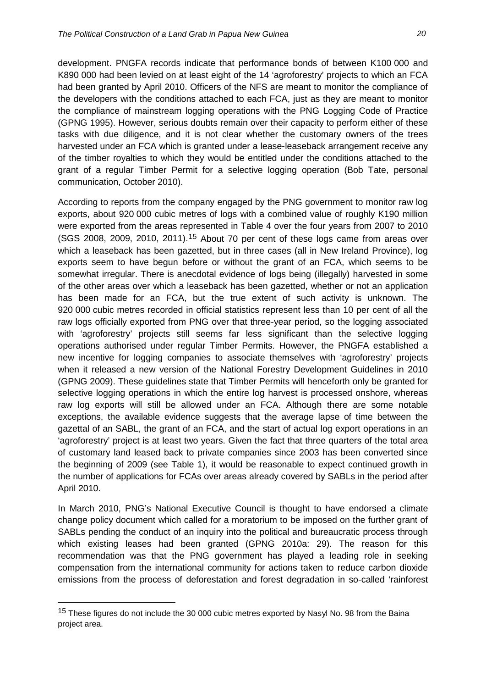development. PNGFA records indicate that performance bonds of between K100 000 and K890 000 had been levied on at least eight of the 14 'agroforestry' projects to which an FCA had been granted by April 2010. Officers of the NFS are meant to monitor the compliance of the developers with the conditions attached to each FCA, just as they are meant to monitor the compliance of mainstream logging operations with the PNG Logging Code of Practice (GPNG 1995). However, serious doubts remain over their capacity to perform either of these tasks with due diligence, and it is not clear whether the customary owners of the trees harvested under an FCA which is granted under a lease-leaseback arrangement receive any of the timber royalties to which they would be entitled under the conditions attached to the grant of a regular Timber Permit for a selective logging operation (Bob Tate, personal communication, October 2010).

According to reports from the company engaged by the PNG government to monitor raw log exports, about 920 000 cubic metres of logs with a combined value of roughly K190 million were exported from the areas represented in Table 4 over the four years from 2007 to 2010 (SGS 2008, 2009, 2010, 2011).[15](#page-19-0) About 70 per cent of these logs came from areas over which a leaseback has been gazetted, but in three cases (all in New Ireland Province), log exports seem to have begun before or without the grant of an FCA, which seems to be somewhat irregular. There is anecdotal evidence of logs being (illegally) harvested in some of the other areas over which a leaseback has been gazetted, whether or not an application has been made for an FCA, but the true extent of such activity is unknown. The 920 000 cubic metres recorded in official statistics represent less than 10 per cent of all the raw logs officially exported from PNG over that three-year period, so the logging associated with 'agroforestry' projects still seems far less significant than the selective logging operations authorised under regular Timber Permits. However, the PNGFA established a new incentive for logging companies to associate themselves with 'agroforestry' projects when it released a new version of the National Forestry Development Guidelines in 2010 (GPNG 2009). These guidelines state that Timber Permits will henceforth only be granted for selective logging operations in which the entire log harvest is processed onshore, whereas raw log exports will still be allowed under an FCA. Although there are some notable exceptions, the available evidence suggests that the average lapse of time between the gazettal of an SABL, the grant of an FCA, and the start of actual log export operations in an 'agroforestry' project is at least two years. Given the fact that three quarters of the total area of customary land leased back to private companies since 2003 has been converted since the beginning of 2009 (see Table 1), it would be reasonable to expect continued growth in the number of applications for FCAs over areas already covered by SABLs in the period after April 2010.

In March 2010, PNG's National Executive Council is thought to have endorsed a climate change policy document which called for a moratorium to be imposed on the further grant of SABLs pending the conduct of an inquiry into the political and bureaucratic process through which existing leases had been granted (GPNG 2010a: 29). The reason for this recommendation was that the PNG government has played a leading role in seeking compensation from the international community for actions taken to reduce carbon dioxide emissions from the process of deforestation and forest degradation in so-called 'rainforest

<span id="page-20-0"></span><sup>&</sup>lt;sup>15</sup> These figures do not include the 30 000 cubic metres exported by Nasyl No. 98 from the Baina project area.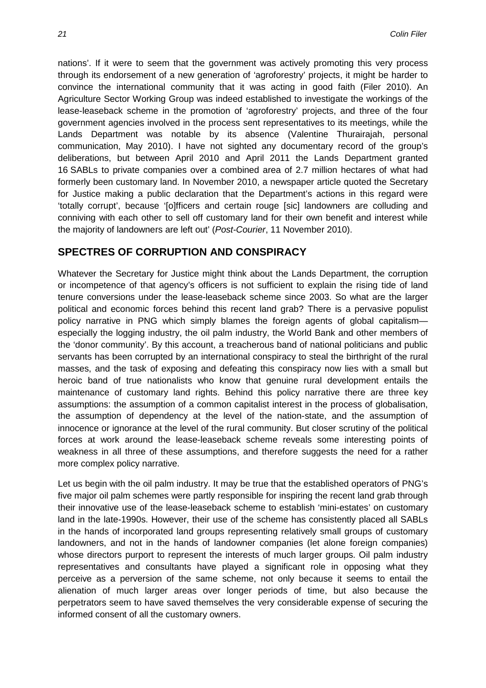nations'. If it were to seem that the government was actively promoting this very process through its endorsement of a new generation of 'agroforestry' projects, it might be harder to convince the international community that it was acting in good faith (Filer 2010). An Agriculture Sector Working Group was indeed established to investigate the workings of the lease-leaseback scheme in the promotion of 'agroforestry' projects, and three of the four government agencies involved in the process sent representatives to its meetings, while the Lands Department was notable by its absence (Valentine Thurairajah, personal communication, May 2010). I have not sighted any documentary record of the group's deliberations, but between April 2010 and April 2011 the Lands Department granted 16 SABLs to private companies over a combined area of 2.7 million hectares of what had formerly been customary land. In November 2010, a newspaper article quoted the Secretary for Justice making a public declaration that the Department's actions in this regard were 'totally corrupt', because '[o]fficers and certain rouge [sic] landowners are colluding and conniving with each other to sell off customary land for their own benefit and interest while the majority of landowners are left out' (*Post-Courier*, 11 November 2010).

#### **SPECTRES OF CORRUPTION AND CONSPIRACY**

Whatever the Secretary for Justice might think about the Lands Department, the corruption or incompetence of that agency's officers is not sufficient to explain the rising tide of land tenure conversions under the lease-leaseback scheme since 2003. So what are the larger political and economic forces behind this recent land grab? There is a pervasive populist policy narrative in PNG which simply blames the foreign agents of global capitalism especially the logging industry, the oil palm industry, the World Bank and other members of the 'donor community'. By this account, a treacherous band of national politicians and public servants has been corrupted by an international conspiracy to steal the birthright of the rural masses, and the task of exposing and defeating this conspiracy now lies with a small but heroic band of true nationalists who know that genuine rural development entails the maintenance of customary land rights. Behind this policy narrative there are three key assumptions: the assumption of a common capitalist interest in the process of globalisation, the assumption of dependency at the level of the nation-state, and the assumption of innocence or ignorance at the level of the rural community. But closer scrutiny of the political forces at work around the lease-leaseback scheme reveals some interesting points of weakness in all three of these assumptions, and therefore suggests the need for a rather more complex policy narrative.

Let us begin with the oil palm industry. It may be true that the established operators of PNG's five major oil palm schemes were partly responsible for inspiring the recent land grab through their innovative use of the lease-leaseback scheme to establish 'mini-estates' on customary land in the late-1990s. However, their use of the scheme has consistently placed all SABLs in the hands of incorporated land groups representing relatively small groups of customary landowners, and not in the hands of landowner companies (let alone foreign companies) whose directors purport to represent the interests of much larger groups. Oil palm industry representatives and consultants have played a significant role in opposing what they perceive as a perversion of the same scheme, not only because it seems to entail the alienation of much larger areas over longer periods of time, but also because the perpetrators seem to have saved themselves the very considerable expense of securing the informed consent of all the customary owners.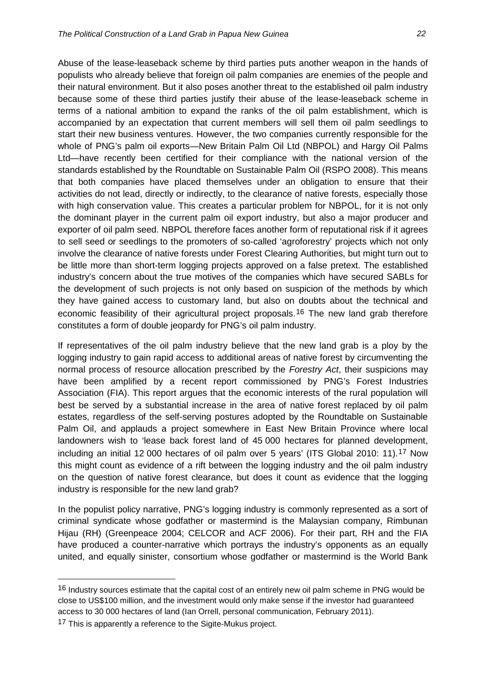Abuse of the lease-leaseback scheme by third parties puts another weapon in the hands of populists who already believe that foreign oil palm companies are enemies of the people and their natural environment. But it also poses another threat to the established oil palm industry because some of these third parties justify their abuse of the lease-leaseback scheme in terms of a national ambition to expand the ranks of the oil palm establishment, which is accompanied by an expectation that current members will sell them oil palm seedlings to start their new business ventures. However, the two companies currently responsible for the whole of PNG's palm oil exports—New Britain Palm Oil Ltd (NBPOL) and Hargy Oil Palms Ltd—have recently been certified for their compliance with the national version of the standards established by the Roundtable on Sustainable Palm Oil (RSPO 2008). This means that both companies have placed themselves under an obligation to ensure that their activities do not lead, directly or indirectly, to the clearance of native forests, especially those with high conservation value. This creates a particular problem for NBPOL, for it is not only the dominant player in the current palm oil export industry, but also a major producer and exporter of oil palm seed. NBPOL therefore faces another form of reputational risk if it agrees to sell seed or seedlings to the promoters of so-called 'agroforestry' projects which not only involve the clearance of native forests under Forest Clearing Authorities, but might turn out to be little more than short-term logging projects approved on a false pretext. The established industry's concern about the true motives of the companies which have secured SABLs for the development of such projects is not only based on suspicion of the methods by which they have gained access to customary land, but also on doubts about the technical and economic feasibility of their agricultural project proposals.<sup>[16](#page-20-0)</sup> The new land grab therefore constitutes a form of double jeopardy for PNG's oil palm industry.

If representatives of the oil palm industry believe that the new land grab is a ploy by the logging industry to gain rapid access to additional areas of native forest by circumventing the normal process of resource allocation prescribed by the *Forestry Act*, their suspicions may have been amplified by a recent report commissioned by PNG's Forest Industries Association (FIA). This report argues that the economic interests of the rural population will best be served by a substantial increase in the area of native forest replaced by oil palm estates, regardless of the self-serving postures adopted by the Roundtable on Sustainable Palm Oil, and applauds a project somewhere in East New Britain Province where local landowners wish to 'lease back forest land of 45 000 hectares for planned development, including an initial 12 000 hectares of oil palm over 5 years' (ITS Global 2010: 11).[17](#page-22-0) Now this might count as evidence of a rift between the logging industry and the oil palm industry on the question of native forest clearance, but does it count as evidence that the logging industry is responsible for the new land grab?

In the populist policy narrative, PNG's logging industry is commonly represented as a sort of criminal syndicate whose godfather or mastermind is the Malaysian company, Rimbunan Hijau (RH) (Greenpeace 2004; CELCOR and ACF 2006). For their part, RH and the FIA have produced a counter-narrative which portrays the industry's opponents as an equally united, and equally sinister, consortium whose godfather or mastermind is the World Bank

<span id="page-22-1"></span><sup>&</sup>lt;sup>16</sup> Industry sources estimate that the capital cost of an entirely new oil palm scheme in PNG would be close to US\$100 million, and the investment would only make sense if the investor had guaranteed access to 30 000 hectares of land (Ian Orrell, personal communication, February 2011).

<span id="page-22-0"></span><sup>&</sup>lt;sup>17</sup> This is apparently a reference to the Sigite-Mukus project.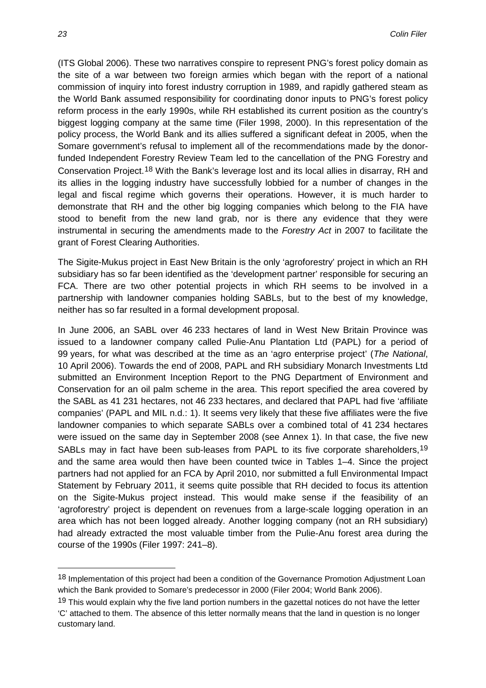(ITS Global 2006). These two narratives conspire to represent PNG's forest policy domain as the site of a war between two foreign armies which began with the report of a national commission of inquiry into forest industry corruption in 1989, and rapidly gathered steam as the World Bank assumed responsibility for coordinating donor inputs to PNG's forest policy reform process in the early 1990s, while RH established its current position as the country's biggest logging company at the same time (Filer 1998, 2000). In this representation of the policy process, the World Bank and its allies suffered a significant defeat in 2005, when the Somare government's refusal to implement all of the recommendations made by the donorfunded Independent Forestry Review Team led to the cancellation of the PNG Forestry and Conservation Project.[18](#page-22-1) With the Bank's leverage lost and its local allies in disarray, RH and its allies in the logging industry have successfully lobbied for a number of changes in the legal and fiscal regime which governs their operations. However, it is much harder to demonstrate that RH and the other big logging companies which belong to the FIA have stood to benefit from the new land grab, nor is there any evidence that they were instrumental in securing the amendments made to the *Forestry Act* in 2007 to facilitate the grant of Forest Clearing Authorities.

The Sigite-Mukus project in East New Britain is the only 'agroforestry' project in which an RH subsidiary has so far been identified as the 'development partner' responsible for securing an FCA. There are two other potential projects in which RH seems to be involved in a partnership with landowner companies holding SABLs, but to the best of my knowledge, neither has so far resulted in a formal development proposal.

In June 2006, an SABL over 46 233 hectares of land in West New Britain Province was issued to a landowner company called Pulie-Anu Plantation Ltd (PAPL) for a period of 99 years, for what was described at the time as an 'agro enterprise project' (*The National*, 10 April 2006). Towards the end of 2008, PAPL and RH subsidiary Monarch Investments Ltd submitted an Environment Inception Report to the PNG Department of Environment and Conservation for an oil palm scheme in the area. This report specified the area covered by the SABL as 41 231 hectares, not 46 233 hectares, and declared that PAPL had five 'affiliate companies' (PAPL and MIL n.d.: 1). It seems very likely that these five affiliates were the five landowner companies to which separate SABLs over a combined total of 41 234 hectares were issued on the same day in September 2008 (see Annex 1). In that case, the five new SABLs may in fact have been sub-leases from PAPL to its five corporate shareholders,<sup>[19](#page-23-0)</sup> and the same area would then have been counted twice in Tables 1–4. Since the project partners had not applied for an FCA by April 2010, nor submitted a full Environmental Impact Statement by February 2011, it seems quite possible that RH decided to focus its attention on the Sigite-Mukus project instead. This would make sense if the feasibility of an 'agroforestry' project is dependent on revenues from a large-scale logging operation in an area which has not been logged already. Another logging company (not an RH subsidiary) had already extracted the most valuable timber from the Pulie-Anu forest area during the course of the 1990s (Filer 1997: 241–8).

 $\overline{a}$ 

<span id="page-23-1"></span><sup>18</sup> Implementation of this project had been a condition of the Governance Promotion Adjustment Loan which the Bank provided to Somare's predecessor in 2000 (Filer 2004; World Bank 2006).

<span id="page-23-0"></span><sup>&</sup>lt;sup>19</sup> This would explain why the five land portion numbers in the gazettal notices do not have the letter 'C' attached to them. The absence of this letter normally means that the land in question is no longer customary land.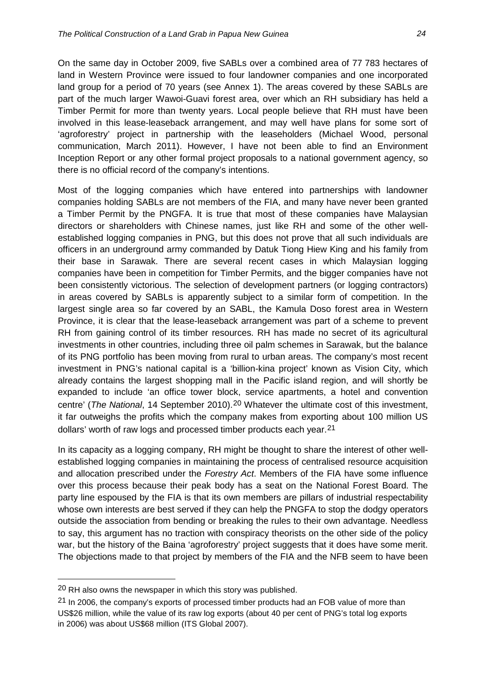On the same day in October 2009, five SABLs over a combined area of 77 783 hectares of land in Western Province were issued to four landowner companies and one incorporated land group for a period of 70 years (see Annex 1). The areas covered by these SABLs are part of the much larger Wawoi-Guavi forest area, over which an RH subsidiary has held a Timber Permit for more than twenty years. Local people believe that RH must have been involved in this lease-leaseback arrangement, and may well have plans for some sort of 'agroforestry' project in partnership with the leaseholders (Michael Wood, personal communication, March 2011). However, I have not been able to find an Environment Inception Report or any other formal project proposals to a national government agency, so there is no official record of the company's intentions.

Most of the logging companies which have entered into partnerships with landowner companies holding SABLs are not members of the FIA, and many have never been granted a Timber Permit by the PNGFA. It is true that most of these companies have Malaysian directors or shareholders with Chinese names, just like RH and some of the other wellestablished logging companies in PNG, but this does not prove that all such individuals are officers in an underground army commanded by Datuk Tiong Hiew King and his family from their base in Sarawak. There are several recent cases in which Malaysian logging companies have been in competition for Timber Permits, and the bigger companies have not been consistently victorious. The selection of development partners (or logging contractors) in areas covered by SABLs is apparently subject to a similar form of competition. In the largest single area so far covered by an SABL, the Kamula Doso forest area in Western Province, it is clear that the lease-leaseback arrangement was part of a scheme to prevent RH from gaining control of its timber resources. RH has made no secret of its agricultural investments in other countries, including three oil palm schemes in Sarawak, but the balance of its PNG portfolio has been moving from rural to urban areas. The company's most recent investment in PNG's national capital is a 'billion-kina project' known as Vision City, which already contains the largest shopping mall in the Pacific island region, and will shortly be expanded to include 'an office tower block, service apartments, a hotel and convention centre' (*The National*, 14 September [20](#page-23-1)10).<sup>20</sup> Whatever the ultimate cost of this investment, it far outweighs the profits which the company makes from exporting about 100 million US dollars' worth of raw logs and processed timber products each year.[21](#page-24-0)

In its capacity as a logging company, RH might be thought to share the interest of other wellestablished logging companies in maintaining the process of centralised resource acquisition and allocation prescribed under the *Forestry Act*. Members of the FIA have some influence over this process because their peak body has a seat on the National Forest Board. The party line espoused by the FIA is that its own members are pillars of industrial respectability whose own interests are best served if they can help the PNGFA to stop the dodgy operators outside the association from bending or breaking the rules to their own advantage. Needless to say, this argument has no traction with conspiracy theorists on the other side of the policy war, but the history of the Baina 'agroforestry' project suggests that it does have some merit. The objections made to that project by members of the FIA and the NFB seem to have been

<sup>20</sup> RH also owns the newspaper in which this story was published.

<span id="page-24-0"></span> $21$  In 2006, the company's exports of processed timber products had an FOB value of more than US\$26 million, while the value of its raw log exports (about 40 per cent of PNG's total log exports in 2006) was about US\$68 million (ITS Global 2007).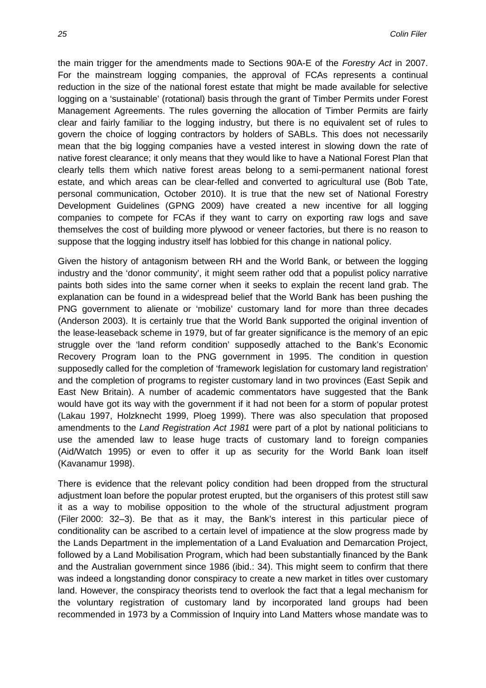the main trigger for the amendments made to Sections 90A-E of the *Forestry Act* in 2007. For the mainstream logging companies, the approval of FCAs represents a continual reduction in the size of the national forest estate that might be made available for selective logging on a 'sustainable' (rotational) basis through the grant of Timber Permits under Forest Management Agreements. The rules governing the allocation of Timber Permits are fairly clear and fairly familiar to the logging industry, but there is no equivalent set of rules to govern the choice of logging contractors by holders of SABLs. This does not necessarily mean that the big logging companies have a vested interest in slowing down the rate of native forest clearance; it only means that they would like to have a National Forest Plan that clearly tells them which native forest areas belong to a semi-permanent national forest estate, and which areas can be clear-felled and converted to agricultural use (Bob Tate, personal communication, October 2010). It is true that the new set of National Forestry Development Guidelines (GPNG 2009) have created a new incentive for all logging companies to compete for FCAs if they want to carry on exporting raw logs and save themselves the cost of building more plywood or veneer factories, but there is no reason to suppose that the logging industry itself has lobbied for this change in national policy.

Given the history of antagonism between RH and the World Bank, or between the logging industry and the 'donor community', it might seem rather odd that a populist policy narrative paints both sides into the same corner when it seeks to explain the recent land grab. The explanation can be found in a widespread belief that the World Bank has been pushing the PNG government to alienate or 'mobilize' customary land for more than three decades (Anderson 2003). It is certainly true that the World Bank supported the original invention of the lease-leaseback scheme in 1979, but of far greater significance is the memory of an epic struggle over the 'land reform condition' supposedly attached to the Bank's Economic Recovery Program loan to the PNG government in 1995. The condition in question supposedly called for the completion of 'framework legislation for customary land registration' and the completion of programs to register customary land in two provinces (East Sepik and East New Britain). A number of academic commentators have suggested that the Bank would have got its way with the government if it had not been for a storm of popular protest (Lakau 1997, Holzknecht 1999, Ploeg 1999). There was also speculation that proposed amendments to the *Land Registration Act 1981* were part of a plot by national politicians to use the amended law to lease huge tracts of customary land to foreign companies (Aid/Watch 1995) or even to offer it up as security for the World Bank loan itself (Kavanamur 1998).

There is evidence that the relevant policy condition had been dropped from the structural adjustment loan before the popular protest erupted, but the organisers of this protest still saw it as a way to mobilise opposition to the whole of the structural adjustment program (Filer 2000: 32–3). Be that as it may, the Bank's interest in this particular piece of conditionality can be ascribed to a certain level of impatience at the slow progress made by the Lands Department in the implementation of a Land Evaluation and Demarcation Project, followed by a Land Mobilisation Program, which had been substantially financed by the Bank and the Australian government since 1986 (ibid.: 34). This might seem to confirm that there was indeed a longstanding donor conspiracy to create a new market in titles over customary land. However, the conspiracy theorists tend to overlook the fact that a legal mechanism for the voluntary registration of customary land by incorporated land groups had been recommended in 1973 by a Commission of Inquiry into Land Matters whose mandate was to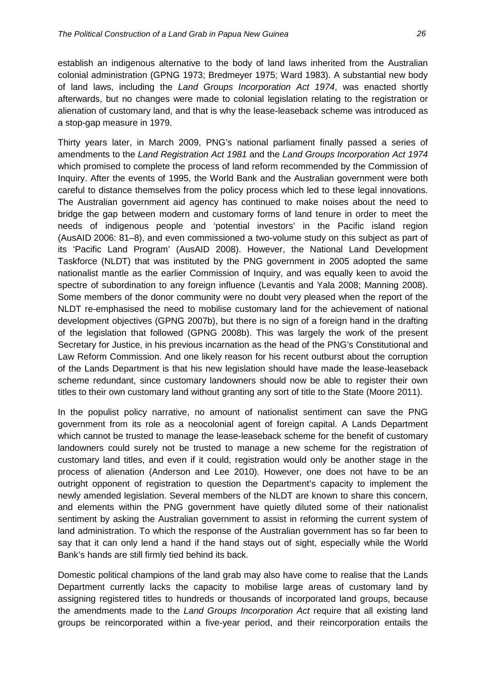establish an indigenous alternative to the body of land laws inherited from the Australian colonial administration (GPNG 1973; Bredmeyer 1975; Ward 1983). A substantial new body of land laws, including the *Land Groups Incorporation Act 1974*, was enacted shortly afterwards, but no changes were made to colonial legislation relating to the registration or alienation of customary land, and that is why the lease-leaseback scheme was introduced as a stop-gap measure in 1979.

Thirty years later, in March 2009, PNG's national parliament finally passed a series of amendments to the *Land Registration Act 1981* and the *Land Groups Incorporation Act 1974*  which promised to complete the process of land reform recommended by the Commission of Inquiry. After the events of 1995, the World Bank and the Australian government were both careful to distance themselves from the policy process which led to these legal innovations. The Australian government aid agency has continued to make noises about the need to bridge the gap between modern and customary forms of land tenure in order to meet the needs of indigenous people and 'potential investors' in the Pacific island region (AusAID 2006: 81–8), and even commissioned a two-volume study on this subject as part of its 'Pacific Land Program' (AusAID 2008). However, the National Land Development Taskforce (NLDT) that was instituted by the PNG government in 2005 adopted the same nationalist mantle as the earlier Commission of Inquiry, and was equally keen to avoid the spectre of subordination to any foreign influence (Levantis and Yala 2008; Manning 2008). Some members of the donor community were no doubt very pleased when the report of the NLDT re-emphasised the need to mobilise customary land for the achievement of national development objectives (GPNG 2007b), but there is no sign of a foreign hand in the drafting of the legislation that followed (GPNG 2008b). This was largely the work of the present Secretary for Justice, in his previous incarnation as the head of the PNG's Constitutional and Law Reform Commission. And one likely reason for his recent outburst about the corruption of the Lands Department is that his new legislation should have made the lease-leaseback scheme redundant, since customary landowners should now be able to register their own titles to their own customary land without granting any sort of title to the State (Moore 2011).

In the populist policy narrative, no amount of nationalist sentiment can save the PNG government from its role as a neocolonial agent of foreign capital. A Lands Department which cannot be trusted to manage the lease-leaseback scheme for the benefit of customary landowners could surely not be trusted to manage a new scheme for the registration of customary land titles, and even if it could, registration would only be another stage in the process of alienation (Anderson and Lee 2010). However, one does not have to be an outright opponent of registration to question the Department's capacity to implement the newly amended legislation. Several members of the NLDT are known to share this concern, and elements within the PNG government have quietly diluted some of their nationalist sentiment by asking the Australian government to assist in reforming the current system of land administration. To which the response of the Australian government has so far been to say that it can only lend a hand if the hand stays out of sight, especially while the World Bank's hands are still firmly tied behind its back.

Domestic political champions of the land grab may also have come to realise that the Lands Department currently lacks the capacity to mobilise large areas of customary land by assigning registered titles to hundreds or thousands of incorporated land groups, because the amendments made to the *Land Groups Incorporation Act* require that all existing land groups be reincorporated within a five-year period, and their reincorporation entails the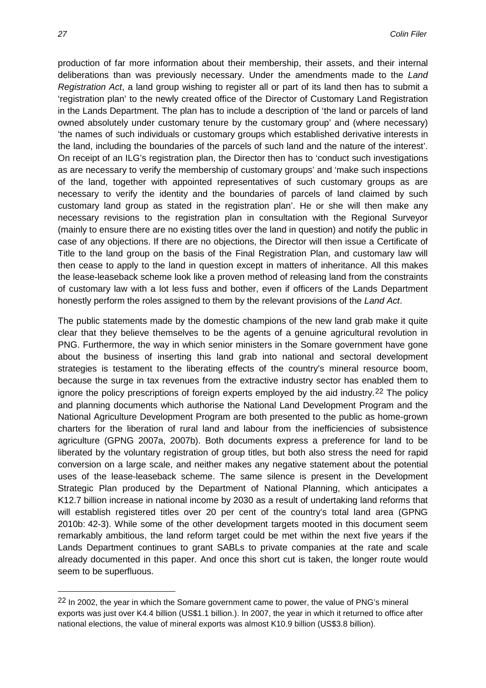production of far more information about their membership, their assets, and their internal deliberations than was previously necessary. Under the amendments made to the *Land Registration Act*, a land group wishing to register all or part of its land then has to submit a 'registration plan' to the newly created office of the Director of Customary Land Registration in the Lands Department. The plan has to include a description of 'the land or parcels of land owned absolutely under customary tenure by the customary group' and (where necessary) 'the names of such individuals or customary groups which established derivative interests in the land, including the boundaries of the parcels of such land and the nature of the interest'. On receipt of an ILG's registration plan, the Director then has to 'conduct such investigations as are necessary to verify the membership of customary groups' and 'make such inspections of the land, together with appointed representatives of such customary groups as are necessary to verify the identity and the boundaries of parcels of land claimed by such customary land group as stated in the registration plan'. He or she will then make any necessary revisions to the registration plan in consultation with the Regional Surveyor (mainly to ensure there are no existing titles over the land in question) and notify the public in case of any objections. If there are no objections, the Director will then issue a Certificate of Title to the land group on the basis of the Final Registration Plan, and customary law will then cease to apply to the land in question except in matters of inheritance. All this makes the lease-leaseback scheme look like a proven method of releasing land from the constraints of customary law with a lot less fuss and bother, even if officers of the Lands Department honestly perform the roles assigned to them by the relevant provisions of the *Land Act*.

The public statements made by the domestic champions of the new land grab make it quite clear that they believe themselves to be the agents of a genuine agricultural revolution in PNG. Furthermore, the way in which senior ministers in the Somare government have gone about the business of inserting this land grab into national and sectoral development strategies is testament to the liberating effects of the country's mineral resource boom, because the surge in tax revenues from the extractive industry sector has enabled them to ignore the policy prescriptions of foreign experts employed by the aid industry.[22](#page-24-0) The policy and planning documents which authorise the National Land Development Program and the National Agriculture Development Program are both presented to the public as home-grown charters for the liberation of rural land and labour from the inefficiencies of subsistence agriculture (GPNG 2007a, 2007b). Both documents express a preference for land to be liberated by the voluntary registration of group titles, but both also stress the need for rapid conversion on a large scale, and neither makes any negative statement about the potential uses of the lease-leaseback scheme. The same silence is present in the Development Strategic Plan produced by the Department of National Planning, which anticipates a K12.7 billion increase in national income by 2030 as a result of undertaking land reforms that will establish registered titles over 20 per cent of the country's total land area (GPNG 2010b: 42-3). While some of the other development targets mooted in this document seem remarkably ambitious, the land reform target could be met within the next five years if the Lands Department continues to grant SABLs to private companies at the rate and scale already documented in this paper. And once this short cut is taken, the longer route would seem to be superfluous.

<span id="page-27-0"></span> $\overline{a}$ 

<sup>&</sup>lt;sup>22</sup> In 2002, the year in which the Somare government came to power, the value of PNG's mineral exports was just over K4.4 billion (US\$1.1 billion.). In 2007, the year in which it returned to office after national elections, the value of mineral exports was almost K10.9 billion (US\$3.8 billion).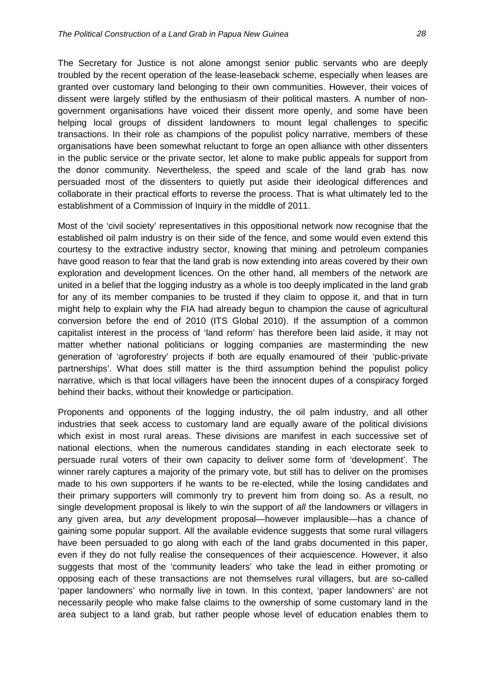The Secretary for Justice is not alone amongst senior public servants who are deeply troubled by the recent operation of the lease-leaseback scheme, especially when leases are granted over customary land belonging to their own communities. However, their voices of dissent were largely stifled by the enthusiasm of their political masters. A number of nongovernment organisations have voiced their dissent more openly, and some have been helping local groups of dissident landowners to mount legal challenges to specific transactions. In their role as champions of the populist policy narrative, members of these organisations have been somewhat reluctant to forge an open alliance with other dissenters in the public service or the private sector, let alone to make public appeals for support from the donor community. Nevertheless, the speed and scale of the land grab has now persuaded most of the dissenters to quietly put aside their ideological differences and collaborate in their practical efforts to reverse the process. That is what ultimately led to the establishment of a Commission of Inquiry in the middle of 2011.

Most of the 'civil society' representatives in this oppositional network now recognise that the established oil palm industry is on their side of the fence, and some would even extend this courtesy to the extractive industry sector, knowing that mining and petroleum companies have good reason to fear that the land grab is now extending into areas covered by their own exploration and development licences. On the other hand, all members of the network are united in a belief that the logging industry as a whole is too deeply implicated in the land grab for any of its member companies to be trusted if they claim to oppose it, and that in turn might help to explain why the FIA had already begun to champion the cause of agricultural conversion before the end of 2010 (ITS Global 2010). If the assumption of a common capitalist interest in the process of 'land reform' has therefore been laid aside, it may not matter whether national politicians or logging companies are masterminding the new generation of 'agroforestry' projects if both are equally enamoured of their 'public-private partnerships'. What does still matter is the third assumption behind the populist policy narrative, which is that local villagers have been the innocent dupes of a conspiracy forged behind their backs, without their knowledge or participation.

Proponents and opponents of the logging industry, the oil palm industry, and all other industries that seek access to customary land are equally aware of the political divisions which exist in most rural areas. These divisions are manifest in each successive set of national elections, when the numerous candidates standing in each electorate seek to persuade rural voters of their own capacity to deliver some form of 'development'. The winner rarely captures a majority of the primary vote, but still has to deliver on the promises made to his own supporters if he wants to be re-elected, while the losing candidates and their primary supporters will commonly try to prevent him from doing so. As a result, no single development proposal is likely to win the support of *all* the landowners or villagers in any given area, but *any* development proposal—however implausible—has a chance of gaining some popular support. All the available evidence suggests that some rural villagers have been persuaded to go along with each of the land grabs documented in this paper. even if they do not fully realise the consequences of their acquiescence. However, it also suggests that most of the 'community leaders' who take the lead in either promoting or opposing each of these transactions are not themselves rural villagers, but are so-called 'paper landowners' who normally live in town. In this context, 'paper landowners' are not necessarily people who make false claims to the ownership of some customary land in the area subject to a land grab, but rather people whose level of education enables them to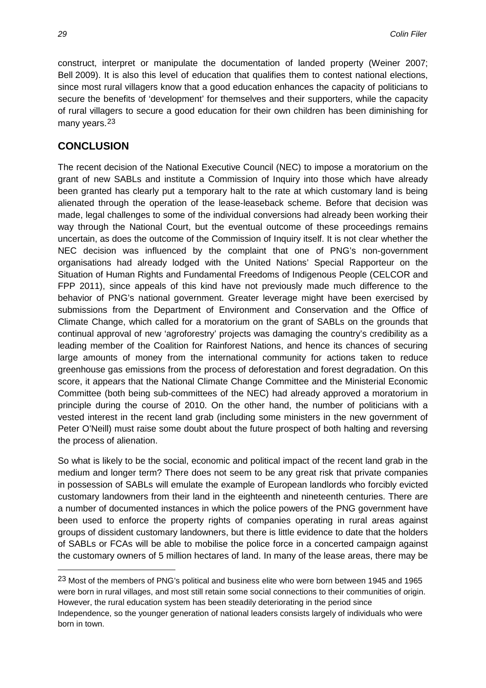construct, interpret or manipulate the documentation of landed property (Weiner 2007; Bell 2009). It is also this level of education that qualifies them to contest national elections, since most rural villagers know that a good education enhances the capacity of politicians to secure the benefits of 'development' for themselves and their supporters, while the capacity of rural villagers to secure a good education for their own children has been diminishing for many years.<sup>[23](#page-27-0)</sup>

#### **CONCLUSION**

The recent decision of the National Executive Council (NEC) to impose a moratorium on the grant of new SABLs and institute a Commission of Inquiry into those which have already been granted has clearly put a temporary halt to the rate at which customary land is being alienated through the operation of the lease-leaseback scheme. Before that decision was made, legal challenges to some of the individual conversions had already been working their way through the National Court, but the eventual outcome of these proceedings remains uncertain, as does the outcome of the Commission of Inquiry itself. It is not clear whether the NEC decision was influenced by the complaint that one of PNG's non-government organisations had already lodged with the United Nations' Special Rapporteur on the Situation of Human Rights and Fundamental Freedoms of Indigenous People (CELCOR and FPP 2011), since appeals of this kind have not previously made much difference to the behavior of PNG's national government. Greater leverage might have been exercised by submissions from the Department of Environment and Conservation and the Office of Climate Change, which called for a moratorium on the grant of SABLs on the grounds that continual approval of new 'agroforestry' projects was damaging the country's credibility as a leading member of the Coalition for Rainforest Nations, and hence its chances of securing large amounts of money from the international community for actions taken to reduce greenhouse gas emissions from the process of deforestation and forest degradation. On this score, it appears that the National Climate Change Committee and the Ministerial Economic Committee (both being sub-committees of the NEC) had already approved a moratorium in principle during the course of 2010. On the other hand, the number of politicians with a vested interest in the recent land grab (including some ministers in the new government of Peter O'Neill) must raise some doubt about the future prospect of both halting and reversing the process of alienation.

So what is likely to be the social, economic and political impact of the recent land grab in the medium and longer term? There does not seem to be any great risk that private companies in possession of SABLs will emulate the example of European landlords who forcibly evicted customary landowners from their land in the eighteenth and nineteenth centuries. There are a number of documented instances in which the police powers of the PNG government have been used to enforce the property rights of companies operating in rural areas against groups of dissident customary landowners, but there is little evidence to date that the holders of SABLs or FCAs will be able to mobilise the police force in a concerted campaign against the customary owners of 5 million hectares of land. In many of the lease areas, there may be

<sup>23</sup> Most of the members of PNG's political and business elite who were born between 1945 and 1965 were born in rural villages, and most still retain some social connections to their communities of origin. However, the rural education system has been steadily deteriorating in the period since Independence, so the younger generation of national leaders consists largely of individuals who were born in town.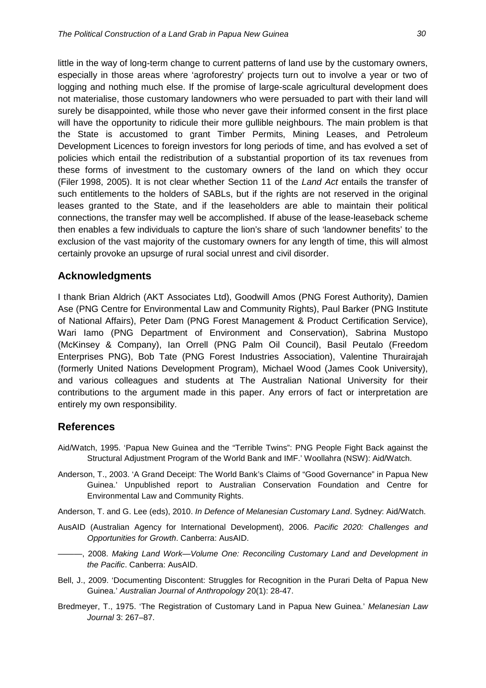little in the way of long-term change to current patterns of land use by the customary owners, especially in those areas where 'agroforestry' projects turn out to involve a year or two of logging and nothing much else. If the promise of large-scale agricultural development does not materialise, those customary landowners who were persuaded to part with their land will surely be disappointed, while those who never gave their informed consent in the first place will have the opportunity to ridicule their more gullible neighbours. The main problem is that the State is accustomed to grant Timber Permits, Mining Leases, and Petroleum Development Licences to foreign investors for long periods of time, and has evolved a set of policies which entail the redistribution of a substantial proportion of its tax revenues from these forms of investment to the customary owners of the land on which they occur (Filer 1998, 2005). It is not clear whether Section 11 of the *Land Act* entails the transfer of such entitlements to the holders of SABLs, but if the rights are not reserved in the original leases granted to the State, and if the leaseholders are able to maintain their political connections, the transfer may well be accomplished. If abuse of the lease-leaseback scheme then enables a few individuals to capture the lion's share of such 'landowner benefits' to the exclusion of the vast majority of the customary owners for any length of time, this will almost certainly provoke an upsurge of rural social unrest and civil disorder.

#### **Acknowledgments**

I thank Brian Aldrich (AKT Associates Ltd), Goodwill Amos (PNG Forest Authority), Damien Ase (PNG Centre for Environmental Law and Community Rights), Paul Barker (PNG Institute of National Affairs), Peter Dam (PNG Forest Management & Product Certification Service), Wari Iamo (PNG Department of Environment and Conservation), Sabrina Mustopo (McKinsey & Company), Ian Orrell (PNG Palm Oil Council), Basil Peutalo (Freedom Enterprises PNG), Bob Tate (PNG Forest Industries Association), Valentine Thurairajah (formerly United Nations Development Program), Michael Wood (James Cook University), and various colleagues and students at The Australian National University for their contributions to the argument made in this paper. Any errors of fact or interpretation are entirely my own responsibility.

#### **References**

- Aid/Watch, 1995. 'Papua New Guinea and the "Terrible Twins": PNG People Fight Back against the Structural Adjustment Program of the World Bank and IMF.' Woollahra (NSW): Aid/Watch.
- Anderson, T., 2003. 'A Grand Deceipt: The World Bank's Claims of "Good Governance" in Papua New Guinea.' Unpublished report to Australian Conservation Foundation and Centre for Environmental Law and Community Rights.
- Anderson, T. and G. Lee (eds), 2010. *In Defence of Melanesian Customary Land*. Sydney: Aid/Watch.
- AusAID (Australian Agency for International Development), 2006. *Pacific 2020: Challenges and Opportunities for Growth*. Canberra: AusAID.
- ———, 2008. *Making Land Work—Volume One: Reconciling Customary Land and Development in the Pacific*. Canberra: AusAID.
- Bell, J., 2009. 'Documenting Discontent: Struggles for Recognition in the Purari Delta of Papua New Guinea.' *Australian Journal of Anthropology* 20(1): 28-47.
- Bredmeyer, T., 1975. 'The Registration of Customary Land in Papua New Guinea.' *Melanesian Law Journal* 3: 267–87.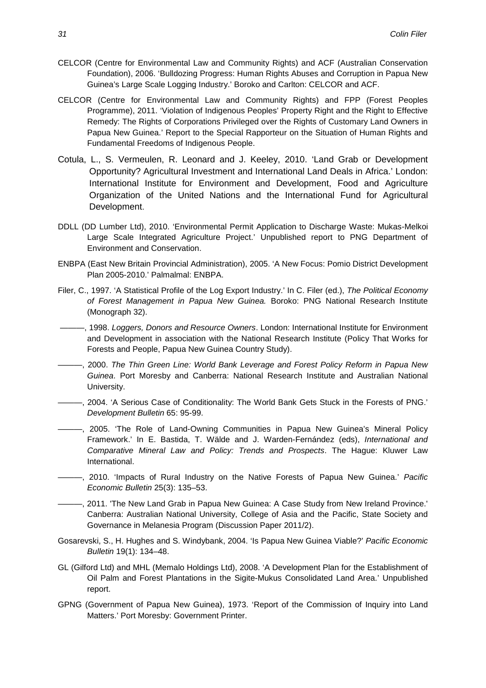- CELCOR (Centre for Environmental Law and Community Rights) and ACF (Australian Conservation Foundation), 2006. 'Bulldozing Progress: Human Rights Abuses and Corruption in Papua New Guinea's Large Scale Logging Industry.' Boroko and Carlton: CELCOR and ACF.
- CELCOR (Centre for Environmental Law and Community Rights) and FPP (Forest Peoples Programme), 2011. 'Violation of Indigenous Peoples' Property Right and the Right to Effective Remedy: The Rights of Corporations Privileged over the Rights of Customary Land Owners in Papua New Guinea.' Report to the Special Rapporteur on the Situation of Human Rights and Fundamental Freedoms of Indigenous People.
- Cotula, L., S. Vermeulen, R. Leonard and J. Keeley, 2010. 'Land Grab or Development Opportunity? Agricultural Investment and International Land Deals in Africa.' London: International Institute for Environment and Development, Food and Agriculture Organization of the United Nations and the International Fund for Agricultural Development.
- DDLL (DD Lumber Ltd), 2010. 'Environmental Permit Application to Discharge Waste: Mukas-Melkoi Large Scale Integrated Agriculture Project.' Unpublished report to PNG Department of Environment and Conservation.
- ENBPA (East New Britain Provincial Administration), 2005. 'A New Focus: Pomio District Development Plan 2005-2010.' Palmalmal: ENBPA.
- Filer, C., 1997. 'A Statistical Profile of the Log Export Industry.' In C. Filer (ed.), *The Political Economy of Forest Management in Papua New Guinea.* Boroko: PNG National Research Institute (Monograph 32).
- ———, 1998. *Loggers, Donors and Resource Owners*. London: International Institute for Environment and Development in association with the National Research Institute (Policy That Works for Forests and People, Papua New Guinea Country Study).
- ———, 2000. *The Thin Green Line: World Bank Leverage and Forest Policy Reform in Papua New Guinea*. Port Moresby and Canberra: National Research Institute and Australian National University.
- ———, 2004. 'A Serious Case of Conditionality: The World Bank Gets Stuck in the Forests of PNG.' *Development Bulletin* 65: 95-99.
- ———, 2005. 'The Role of Land-Owning Communities in Papua New Guinea's Mineral Policy Framework.' In E. Bastida, T. Wälde and J. Warden-Fernández (eds), *International and Comparative Mineral Law and Policy: Trends and Prospects*. The Hague: Kluwer Law International.
- ———, 2010. 'Impacts of Rural Industry on the Native Forests of Papua New Guinea.' *Pacific Economic Bulletin* 25(3): 135–53.
- ———, 2011. 'The New Land Grab in Papua New Guinea: A Case Study from New Ireland Province.' Canberra: Australian National University, College of Asia and the Pacific, State Society and Governance in Melanesia Program (Discussion Paper 2011/2).
- Gosarevski, S., H. Hughes and S. Windybank, 2004. 'Is Papua New Guinea Viable?' *Pacific Economic Bulletin* 19(1): 134–48.
- GL (Gilford Ltd) and MHL (Memalo Holdings Ltd), 2008. 'A Development Plan for the Establishment of Oil Palm and Forest Plantations in the Sigite-Mukus Consolidated Land Area.' Unpublished report.
- GPNG (Government of Papua New Guinea), 1973. 'Report of the Commission of Inquiry into Land Matters.' Port Moresby: Government Printer.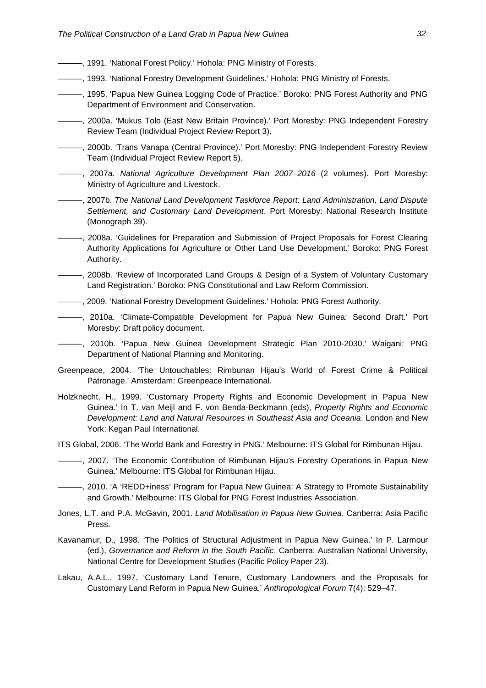- $-$ , 1991. 'National Forest Policy.' Hohola: PNG Ministry of Forests.
- ———, 1993. 'National Forestry Development Guidelines.' Hohola: PNG Ministry of Forests.
- ———, 1995. 'Papua New Guinea Logging Code of Practice.' Boroko: PNG Forest Authority and PNG Department of Environment and Conservation.
- ———, 2000a. 'Mukus Tolo (East New Britain Province).' Port Moresby: PNG Independent Forestry Review Team (Individual Project Review Report 3).
- ———, 2000b. 'Trans Vanapa (Central Province).' Port Moresby: PNG Independent Forestry Review Team (Individual Project Review Report 5).
- ———, 2007a. *National Agriculture Development Plan 2007–2016* (2 volumes). Port Moresby: Ministry of Agriculture and Livestock.
- ———, 2007b. *The National Land Development Taskforce Report: Land Administration, Land Dispute Settlement, and Customary Land Development*. Port Moresby: National Research Institute (Monograph 39).
- ———, 2008a. 'Guidelines for Preparation and Submission of Project Proposals for Forest Clearing Authority Applications for Agriculture or Other Land Use Development.' Boroko: PNG Forest Authority.
- ———, 2008b. 'Review of Incorporated Land Groups & Design of a System of Voluntary Customary Land Registration.' Boroko: PNG Constitutional and Law Reform Commission.
- ———, 2009. 'National Forestry Development Guidelines.' Hohola: PNG Forest Authority.
- ———, 2010a. 'Climate-Compatible Development for Papua New Guinea: Second Draft.' Port Moresby: Draft policy document.
- ———, 2010b. 'Papua New Guinea Development Strategic Plan 2010-2030.' Waigani: PNG Department of National Planning and Monitoring.
- Greenpeace, 2004. 'The Untouchables: Rimbunan Hijau's World of Forest Crime & Political Patronage.' Amsterdam: Greenpeace International.
- Holzknecht, H., 1999. 'Customary Property Rights and Economic Development in Papua New Guinea.' In T. van Meijl and F. von Benda-Beckmann (eds), *Property Rights and Economic Development: Land and Natural Resources in Southeast Asia and Oceania*. London and New York: Kegan Paul International.
- ITS Global, 2006. 'The World Bank and Forestry in PNG.' Melbourne: ITS Global for Rimbunan Hijau.
- ———, 2007. 'The Economic Contribution of Rimbunan Hijau's Forestry Operations in Papua New Guinea.' Melbourne: ITS Global for Rimbunan Hijau.
- ———, 2010. 'A 'REDD+iness' Program for Papua New Guinea: A Strategy to Promote Sustainability and Growth.' Melbourne: ITS Global for PNG Forest Industries Association.
- Jones, L.T. and P.A. McGavin, 2001. *Land Mobilisation in Papua New Guinea*. Canberra: Asia Pacific Press.
- Kavanamur, D., 1998. 'The Politics of Structural Adjustment in Papua New Guinea.' In P. Larmour (ed.), *Governance and Reform in the South Pacific*. Canberra: Australian National University, National Centre for Development Studies (Pacific Policy Paper 23).
- Lakau, A.A.L., 1997. 'Customary Land Tenure, Customary Landowners and the Proposals for Customary Land Reform in Papua New Guinea.' *Anthropological Forum* 7(4): 529–47.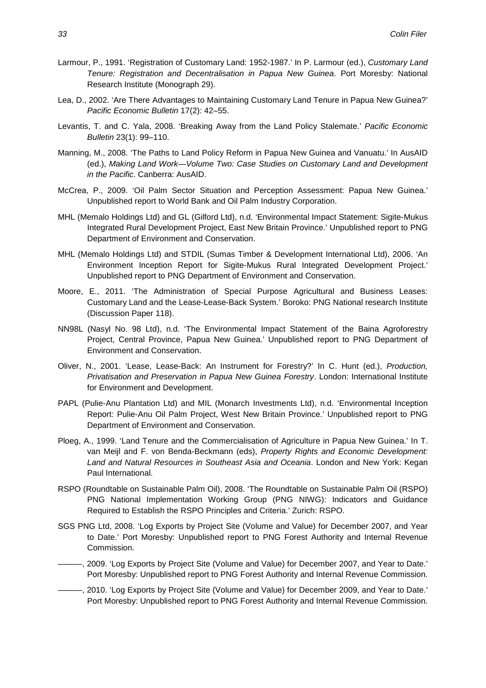- Larmour, P., 1991. 'Registration of Customary Land: 1952-1987.' In P. Larmour (ed.), *Customary Land Tenure: Registration and Decentralisation in Papua New Guinea*. Port Moresby: National Research Institute (Monograph 29).
- Lea, D., 2002. 'Are There Advantages to Maintaining Customary Land Tenure in Papua New Guinea?' *Pacific Economic Bulletin* 17(2): 42–55.
- Levantis, T. and C. Yala, 2008. 'Breaking Away from the Land Policy Stalemate.' *Pacific Economic Bulletin* 23(1): 99–110.
- Manning, M., 2008. 'The Paths to Land Policy Reform in Papua New Guinea and Vanuatu.' In AusAID (ed.), *Making Land Work—Volume Two: Case Studies on Customary Land and Development in the Pacific*. Canberra: AusAID.
- McCrea, P., 2009. 'Oil Palm Sector Situation and Perception Assessment: Papua New Guinea.' Unpublished report to World Bank and Oil Palm Industry Corporation.
- MHL (Memalo Holdings Ltd) and GL (Gilford Ltd), n.d. 'Environmental Impact Statement: Sigite-Mukus Integrated Rural Development Project, East New Britain Province.' Unpublished report to PNG Department of Environment and Conservation.
- MHL (Memalo Holdings Ltd) and STDIL (Sumas Timber & Development International Ltd), 2006. 'An Environment Inception Report for Sigite-Mukus Rural Integrated Development Project.' Unpublished report to PNG Department of Environment and Conservation.
- Moore, E., 2011. 'The Administration of Special Purpose Agricultural and Business Leases: Customary Land and the Lease-Lease-Back System.' Boroko: PNG National research Institute (Discussion Paper 118).
- NN98L (Nasyl No. 98 Ltd), n.d. 'The Environmental Impact Statement of the Baina Agroforestry Project, Central Province, Papua New Guinea.' Unpublished report to PNG Department of Environment and Conservation.
- Oliver, N., 2001. 'Lease, Lease-Back: An Instrument for Forestry?' In C. Hunt (ed.), *Production, Privatisation and Preservation in Papua New Guinea Forestry*. London: International Institute for Environment and Development.
- PAPL (Pulie-Anu Plantation Ltd) and MIL (Monarch Investments Ltd), n.d. 'Environmental Inception Report: Pulie-Anu Oil Palm Project, West New Britain Province.' Unpublished report to PNG Department of Environment and Conservation.
- Ploeg, A., 1999. 'Land Tenure and the Commercialisation of Agriculture in Papua New Guinea.' In T. van Meijl and F. von Benda-Beckmann (eds), *Property Rights and Economic Development: Land and Natural Resources in Southeast Asia and Oceania*. London and New York: Kegan Paul International.
- RSPO (Roundtable on Sustainable Palm Oil), 2008. 'The Roundtable on Sustainable Palm Oil (RSPO) PNG National Implementation Working Group (PNG NIWG): Indicators and Guidance Required to Establish the RSPO Principles and Criteria.' Zurich: RSPO.
- SGS PNG Ltd, 2008. 'Log Exports by Project Site (Volume and Value) for December 2007, and Year to Date.' Port Moresby: Unpublished report to PNG Forest Authority and Internal Revenue Commission.
- ———, 2009. 'Log Exports by Project Site (Volume and Value) for December 2007, and Year to Date.' Port Moresby: Unpublished report to PNG Forest Authority and Internal Revenue Commission.
- ———, 2010. 'Log Exports by Project Site (Volume and Value) for December 2009, and Year to Date.' Port Moresby: Unpublished report to PNG Forest Authority and Internal Revenue Commission.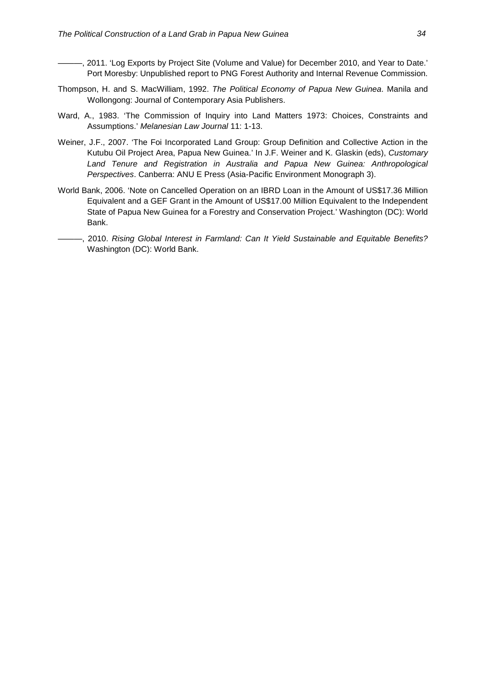- -, 2011. 'Log Exports by Project Site (Volume and Value) for December 2010, and Year to Date.' Port Moresby: Unpublished report to PNG Forest Authority and Internal Revenue Commission.
- Thompson, H. and S. MacWilliam, 1992. *The Political Economy of Papua New Guinea*. Manila and Wollongong: Journal of Contemporary Asia Publishers.
- Ward, A., 1983. 'The Commission of Inquiry into Land Matters 1973: Choices, Constraints and Assumptions.' *Melanesian Law Journal* 11: 1-13.
- Weiner, J.F., 2007. 'The Foi Incorporated Land Group: Group Definition and Collective Action in the Kutubu Oil Project Area, Papua New Guinea.' In J.F. Weiner and K. Glaskin (eds), *Customary Land Tenure and Registration in Australia and Papua New Guinea: Anthropological Perspectives*. Canberra: ANU E Press (Asia-Pacific Environment Monograph 3).
- World Bank, 2006. 'Note on Cancelled Operation on an IBRD Loan in the Amount of US\$17.36 Million Equivalent and a GEF Grant in the Amount of US\$17.00 Million Equivalent to the Independent State of Papua New Guinea for a Forestry and Conservation Project.' Washington (DC): World Bank.
- ———, 2010. *Rising Global Interest in Farmland: Can It Yield Sustainable and Equitable Benefits?* Washington (DC): World Bank.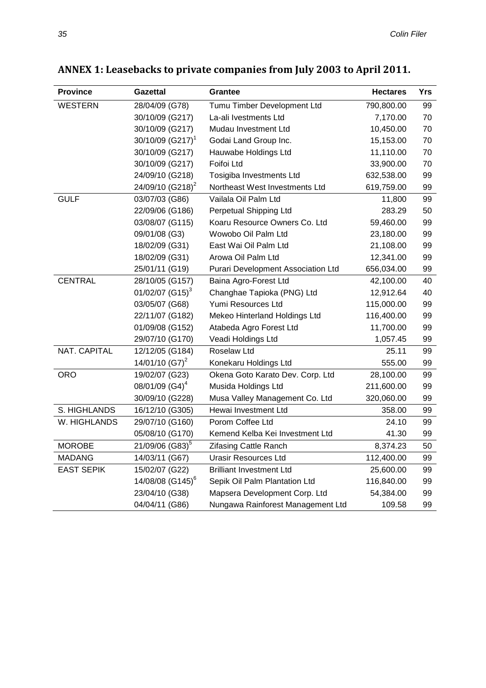| <b>Province</b>   | <b>Gazettal</b>                | <b>Grantee</b>                     | <b>Hectares</b> | Yrs |
|-------------------|--------------------------------|------------------------------------|-----------------|-----|
| <b>WESTERN</b>    | 28/04/09 (G78)                 | Tumu Timber Development Ltd        | 790,800.00      | 99  |
|                   | 30/10/09 (G217)                | La-ali Ivestments Ltd              | 7,170.00        | 70  |
|                   | 30/10/09 (G217)                | Mudau Investment Ltd               | 10,450.00       | 70  |
|                   | $30/10/09$ (G217) <sup>1</sup> | Godai Land Group Inc.              | 15,153.00       | 70  |
|                   | 30/10/09 (G217)                | Hauwabe Holdings Ltd               | 11,110.00       | 70  |
|                   | 30/10/09 (G217)                | Foifoi Ltd                         | 33,900.00       | 70  |
|                   | 24/09/10 (G218)                | Tosigiba Investments Ltd           | 632,538.00      | 99  |
|                   | 24/09/10 (G218) <sup>2</sup>   | Northeast West Investments Ltd     | 619,759.00      | 99  |
| <b>GULF</b>       | 03/07/03 (G86)                 | Vailala Oil Palm Ltd               | 11,800          | 99  |
|                   | 22/09/06 (G186)                | Perpetual Shipping Ltd             | 283.29          | 50  |
|                   | 03/08/07 (G115)                | Koaru Resource Owners Co. Ltd      | 59,460.00       | 99  |
|                   | 09/01/08 (G3)                  | Wowobo Oil Palm Ltd                | 23,180.00       | 99  |
|                   | 18/02/09 (G31)                 | East Wai Oil Palm Ltd              | 21,108.00       | 99  |
|                   | 18/02/09 (G31)                 | Arowa Oil Palm Ltd                 | 12,341.00       | 99  |
|                   | 25/01/11 (G19)                 | Purari Development Association Ltd | 656,034.00      | 99  |
| <b>CENTRAL</b>    | 28/10/05 (G157)                | Baina Agro-Forest Ltd              | 42,100.00       | 40  |
|                   | 01/02/07 $(G15)^3$             | Changhae Tapioka (PNG) Ltd         | 12,912.64       | 40  |
|                   | 03/05/07 (G68)                 | Yumi Resources Ltd                 | 115,000.00      | 99  |
|                   | 22/11/07 (G182)                | Mekeo Hinterland Holdings Ltd      | 116,400.00      | 99  |
|                   | 01/09/08 (G152)                | Atabeda Agro Forest Ltd            | 11,700.00       | 99  |
|                   | 29/07/10 (G170)                | Veadi Holdings Ltd                 | 1,057.45        | 99  |
| NAT. CAPITAL      | 12/12/05 (G184)                | Roselaw Ltd                        | 25.11           | 99  |
|                   | 14/01/10 $(G7)^2$              | Konekaru Holdings Ltd              | 555.00          | 99  |
| <b>ORO</b>        | 19/02/07 (G23)                 | Okena Goto Karato Dev. Corp. Ltd   | 28,100.00       | 99  |
|                   | 08/01/09 (G4) <sup>4</sup>     | Musida Holdings Ltd                | 211,600.00      | 99  |
|                   | 30/09/10 (G228)                | Musa Valley Management Co. Ltd     | 320,060.00      | 99  |
| S. HIGHLANDS      | 16/12/10 (G305)                | Hewai Investment Ltd               | 358.00          | 99  |
| W. HIGHLANDS      | 29/07/10 (G160)                | Porom Coffee Ltd                   | 24.10           | 99  |
|                   | 05/08/10 (G170)                | Kemend Kelba Kei Investment Ltd    | 41.30           | 99  |
| <b>MOROBE</b>     | 21/09/06 (G83) <sup>5</sup>    | <b>Zifasing Cattle Ranch</b>       | 8,374.23        | 50  |
| <b>MADANG</b>     | 14/03/11 (G67)                 | <b>Urasir Resources Ltd</b>        | 112,400.00      | 99  |
| <b>EAST SEPIK</b> | 15/02/07 (G22)                 | <b>Brilliant Investment Ltd</b>    | 25,600.00       | 99  |
|                   | 14/08/08 (G145) <sup>6</sup>   | Sepik Oil Palm Plantation Ltd      | 116,840.00      | 99  |
|                   | 23/04/10 (G38)                 | Mapsera Development Corp. Ltd      | 54,384.00       | 99  |
|                   | 04/04/11 (G86)                 | Nungawa Rainforest Management Ltd  | 109.58          | 99  |

## **ANNEX 1: Leasebacks to private companies from July 2003 to April 2011.**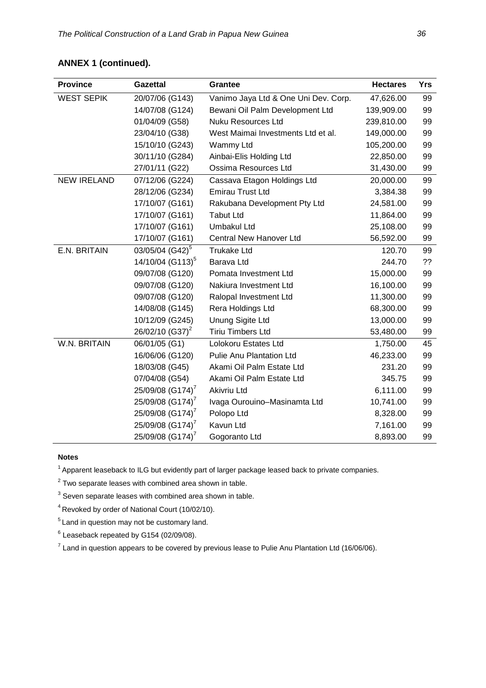#### **ANNEX 1 (continued).**

| <b>Province</b>    | <b>Gazettal</b>              | Grantee                              | <b>Hectares</b> | Yrs |
|--------------------|------------------------------|--------------------------------------|-----------------|-----|
| <b>WEST SEPIK</b>  | 20/07/06 (G143)              | Vanimo Jaya Ltd & One Uni Dev. Corp. | 47,626.00       | 99  |
|                    | 14/07/08 (G124)              | Bewani Oil Palm Development Ltd      | 139,909.00      | 99  |
|                    | 01/04/09 (G58)               | <b>Nuku Resources Ltd</b>            | 239,810.00      | 99  |
|                    | 23/04/10 (G38)               | West Maimai Investments Ltd et al.   | 149,000.00      | 99  |
|                    | 15/10/10 (G243)              | Wammy Ltd                            | 105,200.00      | 99  |
|                    | 30/11/10 (G284)              | Ainbai-Elis Holding Ltd              | 22,850.00       | 99  |
|                    | 27/01/11 (G22)               | Ossima Resources Ltd                 | 31,430.00       | 99  |
| <b>NEW IRELAND</b> | 07/12/06 (G224)              | Cassava Etagon Holdings Ltd          | 20,000.00       | 99  |
|                    | 28/12/06 (G234)              | <b>Emirau Trust Ltd</b>              | 3,384.38        | 99  |
|                    | 17/10/07 (G161)              | Rakubana Development Pty Ltd         | 24,581.00       | 99  |
|                    | 17/10/07 (G161)              | <b>Tabut Ltd</b>                     | 11,864.00       | 99  |
|                    | 17/10/07 (G161)              | Umbakul Ltd                          | 25,108.00       | 99  |
|                    | 17/10/07 (G161)              | Central New Hanover Ltd              | 56,592.00       | 99  |
| E.N. BRITAIN       | 03/05/04 (G42) <sup>5</sup>  | <b>Trukake Ltd</b>                   | 120.70          | 99  |
|                    | 14/10/04 (G113) <sup>5</sup> | Barava Ltd                           | 244.70          | ??  |
|                    | 09/07/08 (G120)              | Pomata Investment Ltd                | 15,000.00       | 99  |
|                    | 09/07/08 (G120)              | Nakiura Investment Ltd               | 16,100.00       | 99  |
|                    | 09/07/08 (G120)              | Ralopal Investment Ltd               | 11,300.00       | 99  |
|                    | 14/08/08 (G145)              | Rera Holdings Ltd                    | 68,300.00       | 99  |
|                    | 10/12/09 (G245)              | Unung Sigite Ltd                     | 13,000.00       | 99  |
|                    | 26/02/10 (G37) <sup>2</sup>  | Tiriu Timbers Ltd                    | 53,480.00       | 99  |
| W.N. BRITAIN       | 06/01/05 (G1)                | Lolokoru Estates Ltd                 | 1,750.00        | 45  |
|                    | 16/06/06 (G120)              | <b>Pulie Anu Plantation Ltd</b>      | 46,233.00       | 99  |
|                    | 18/03/08 (G45)               | Akami Oil Palm Estate Ltd            | 231.20          | 99  |
|                    | 07/04/08 (G54)               | Akami Oil Palm Estate Ltd            | 345.75          | 99  |
|                    | 25/09/08 (G174) <sup>7</sup> | Akivriu Ltd                          | 6,111.00        | 99  |
|                    | 25/09/08 (G174) <sup>7</sup> | Ivaga Ourouino-Masinamta Ltd         | 10,741.00       | 99  |
|                    | 25/09/08 (G174) <sup>7</sup> | Polopo Ltd                           | 8,328.00        | 99  |
|                    | 25/09/08 (G174) <sup>7</sup> | Kavun Ltd                            | 7,161.00        | 99  |
|                    | 25/09/08 (G174) <sup>7</sup> | Gogoranto Ltd                        | 8,893.00        | 99  |

#### **Notes**

 $1$  Apparent leaseback to ILG but evidently part of larger package leased back to private companies.

 $2$  Two separate leases with combined area shown in table.

 $3$  Seven separate leases with combined area shown in table.

4 Revoked by order of National Court (10/02/10).

5 Land in question may not be customary land.

 $6$  Leaseback repeated by G154 (02/09/08).

 $7$  Land in question appears to be covered by previous lease to Pulie Anu Plantation Ltd (16/06/06).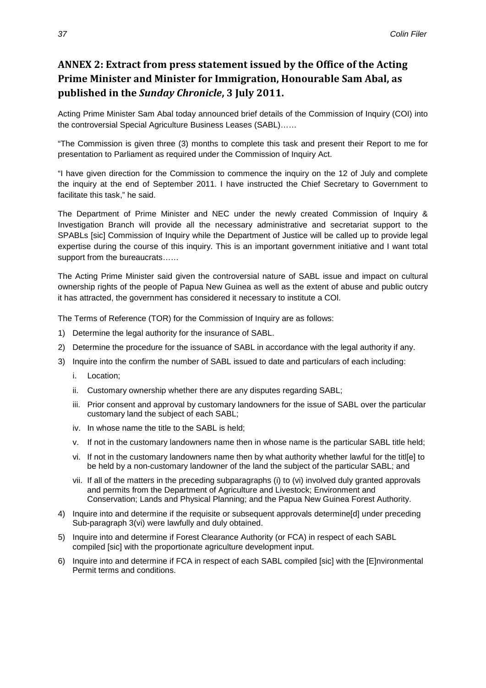### **ANNEX 2: Extract from press statement issued by the Office of the Acting Prime Minister and Minister for Immigration, Honourable Sam Abal, as published in the** *Sunday Chronicle***, 3 July 2011.**

Acting Prime Minister Sam Abal today announced brief details of the Commission of Inquiry (COI) into the controversial Special Agriculture Business Leases (SABL)……

"The Commission is given three (3) months to complete this task and present their Report to me for presentation to Parliament as required under the Commission of Inquiry Act.

"I have given direction for the Commission to commence the inquiry on the 12 of July and complete the inquiry at the end of September 2011. I have instructed the Chief Secretary to Government to facilitate this task," he said.

The Department of Prime Minister and NEC under the newly created Commission of Inquiry & Investigation Branch will provide all the necessary administrative and secretariat support to the SPABLs [sic] Commission of Inquiry while the Department of Justice will be called up to provide legal expertise during the course of this inquiry. This is an important government initiative and I want total support from the bureaucrats......

The Acting Prime Minister said given the controversial nature of SABL issue and impact on cultural ownership rights of the people of Papua New Guinea as well as the extent of abuse and public outcry it has attracted, the government has considered it necessary to institute a COl.

The Terms of Reference (TOR) for the Commission of Inquiry are as follows:

- 1) Determine the legal authority for the insurance of SABL.
- 2) Determine the procedure for the issuance of SABL in accordance with the legal authority if any.
- 3) Inquire into the confirm the number of SABL issued to date and particulars of each including:
	- i. Location;
	- ii. Customary ownership whether there are any disputes regarding SABL;
	- iii. Prior consent and approval by customary landowners for the issue of SABL over the particular customary land the subject of each SABL;
	- iv. In whose name the title to the SABL is held;
	- v. If not in the customary landowners name then in whose name is the particular SABL title held;
	- vi. If not in the customary landowners name then by what authority whether lawful for the titl[e] to be held by a non-customary landowner of the land the subject of the particular SABL; and
	- vii. If all of the matters in the preceding subparagraphs (i) to (vi) involved duly granted approvals and permits from the Department of Agriculture and Livestock; Environment and Conservation; Lands and Physical Planning; and the Papua New Guinea Forest Authority.
- 4) Inquire into and determine if the requisite or subsequent approvals determine[d] under preceding Sub-paragraph 3(vi) were lawfully and duly obtained.
- 5) Inquire into and determine if Forest Clearance Authority (or FCA) in respect of each SABL compiled [sic] with the proportionate agriculture development input.
- 6) Inquire into and determine if FCA in respect of each SABL compiled [sic] with the [E]nvironmental Permit terms and conditions.